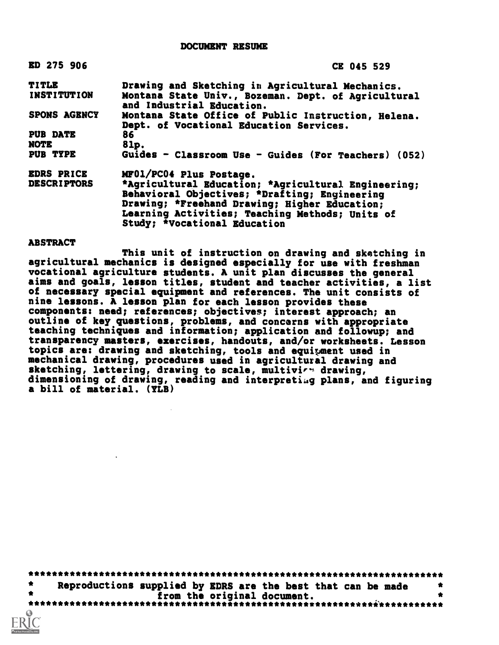DOCUMENT RESUME

| ED 275 906              | CE 045 529                                                                                     |
|-------------------------|------------------------------------------------------------------------------------------------|
| <b>TITLE</b>            | Drawing and Sketching in Agricultural Mechanics.                                               |
| <b>INSTITUTION</b>      | Montana State Univ., Bozeman. Dept. of Agricultural<br>and Industrial Education.               |
| <b>SPONS AGENCY</b>     | Montana State Office of Public Instruction, Helena.<br>Dept. of Vocational Education Services. |
| <b>PUB DATE</b>         | 86                                                                                             |
| <b>NOTE</b><br>PUB TYPE | 81p.<br>Guides - Classroom Use - Guides (For Teachers) (052)                                   |
| <b>EDRS PRICE</b>       | MF01/PC04 Plus Postage.                                                                        |
| <b>DESCRIPTORS</b>      | *Agricultural Education; *Agricultural Engineering;                                            |
|                         | Behavioral Objectives; *Drafting; Engineering                                                  |
|                         | Drawing; *Freehand Drawing; Higher Education;                                                  |
|                         | Learning Activities; Teaching Methods; Units of<br>Study; *Vocational Education                |
|                         |                                                                                                |

#### ABSTRACT

This unit of instruction on drawing and sketching in agricultural mechanics is designed especially for use with freshman vocational agriculture students. A unit plan discusses the general aims and goals, lesson titles, student and teacher activities, a list of necessary special equipment and references. The unit consists of nine lessons. A lesson plan for each lesson provides these components: need; references; objectives; interest approach; an outline of key questions, problems, and concerns with appropriate teaching techniques and information; application and followup; and transparency masters, exercises, handouts, and/or worksheets. Lesson topics are: drawing and sketching, tools and equipment used in mechanical drawing, procedures used in agricultural drawing and sketching, lettering, drawing to scale, multivire drawing, dimensioning of drawing, reading and interpreting plans, and figuring a bill of material. (YLB)

\*\*\*\*\*\*\*\*\*\*\*\*\*\*\*\*\*\*\*\*\*\*\*\*\*\*\*\*\*\*\*\*\*\*\*\*\*\*\*\*\*\*\*\*\*\*\*\*\*\*\*\*\*\*\*\*\*\*\*\*\*\*\*\*\*\*\*\*\*\*\*  $\bullet$ Reproductions supplied by EDRS are the best that can be made  $*$ <br>from the original document. from the original document. \*\*\*\*\*\*\*\*\*\*\*\*\*\*\*\*\*\*\*\*\*\*\*\*\*\*\*\*\*\*\*\*\*\*\*\*\*\*\*\*\*\*\*\*\*\*\*\*\*\*\*\*\*\*\*\*\*\*\*i\*\*\*\*\*\*\*\*\*\*\*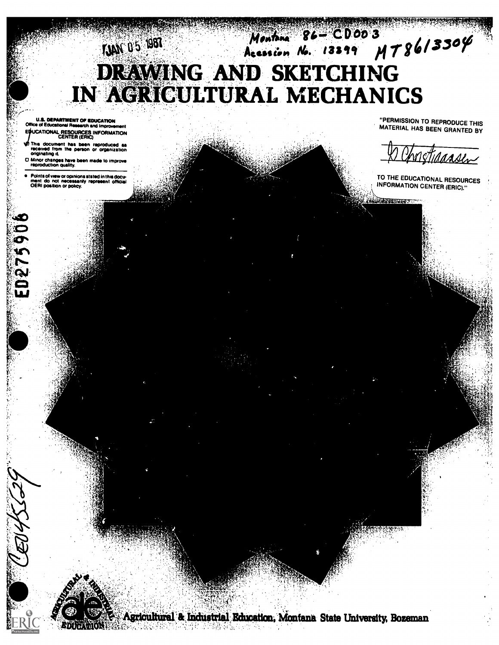# Montina 86 - CD003<br>Accosion No. 13399 MT8613304 **TJAN 05 1987** SKETCHING L MECHANICS

, Nt 1

U.S. DEPARTIIIENT OF EDUCATION<br>Office of Educational Research and Improvement EUCATIONAL HESOURCES INFORMATION<br>CENTER (ERIC)

- This document has been reproduced as received from the person or orgenizetbn originating it.
- 0 Minor changes have WW1 made to improve reproduction quality
- $\mathbb{R}^n$   $\bullet$  Points of view or opinions stated in this docu-PI: ' rnent do not necessanty represent othciel OERI position or policy 4.,

 $\mathcal{L}$  in the set of  $\mathcal{L}$ 

ette bestehet der den staats

 $\sim$ 

' uf general services

44

 $\mathbf{F}_{\mathbf{A}}$  , and the set of the set of the set of the set of the set of the set of the set of the set of the set of the set of the set of the set of the set of the set of the set of the set of the set of the set of th

,, .1., ,',.i

 $\sum_{i=1}^n$ 

 $\mathbb{R}$  . And  $\mathbb{R}$ 

 $k$  is the state of  $\mathbf{u}_i$ i..,1 .. i,t-it

. ',.

"PERMISSION TO REPRODUCE THIS MATERIAL HAS BEEN GRANTED BY

notiagaser

TO THE EDUCATIONAL RESOURCES ନ୍ତ<sub>ି ।</sub> INFORMATION CENTER (ERIC),''<br>ନନ୍ଦ୍ରା

**AVANUE DE L'A** 

gricultural & Industrial Education, Montana State University, Bozeman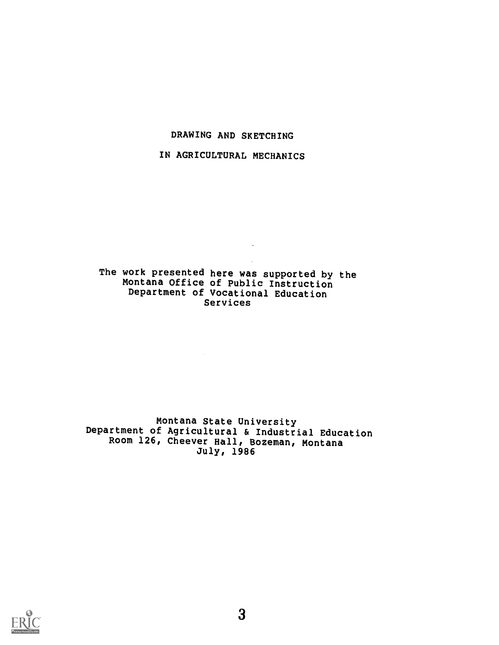#### DRAWING AND SKETCHING

### IN AGRICULTURAL MECHANICS

#### The work presented here was supported by the Montana Office of Public Instruction Department of Vocational Education Services

 $\sim 10^{11}$ 

Montana State University Department of Agricultural & Industrial Education Room 126, Cheever Hall, Bozeman, Montana July, 1986

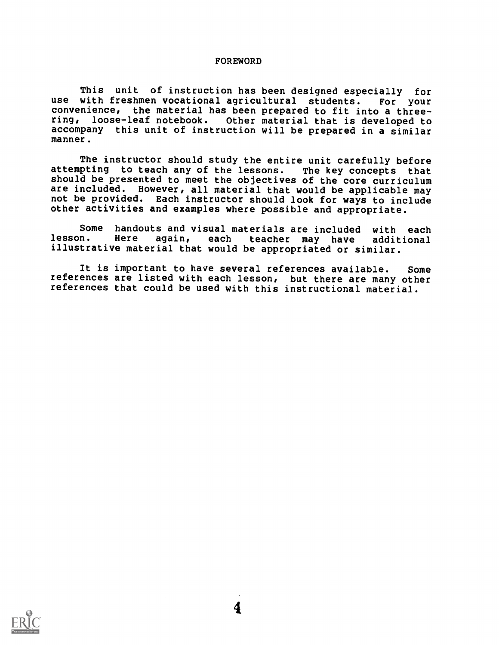#### FOREWORD

This unit of instruction has been designed especially for use with freshmen vocational agricultural students. For your convenience, the material has been prepared to fit into a threering, loose-leaf notebook. Other material that is developed to accompany this unit of instruction will be prepared in a similar manner.

The instructor should study the entire unit carefully before<br>pting to teach any of the lessons. The key concepts that attempting to teach any of the lessons. should be presented to meet the objectives of the core curriculum are included. However, all material that would be applicable may not be provided. Each instructor should look for ways to include other activities and examples where possible and appropriate.

Some handouts and visual materials are included with each<br>lesson. Here again, each teacher may have additional each teacher may have illustrative material that would be appropriated or similar.

It is important to have several references available. Some references are listed with each lesson, but there are many other references that could be used with this instructional material.

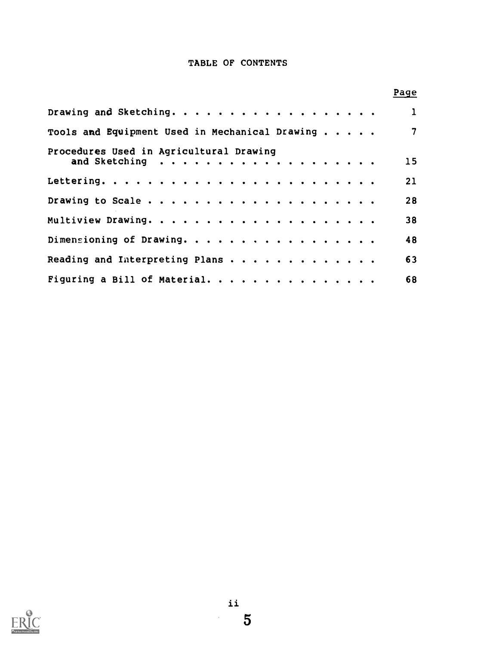### TABLE OF CONTENTS

|                                                | Page           |
|------------------------------------------------|----------------|
| Drawing and Sketching.                         | $\mathbf{1}$   |
| Tools and Equipment Used in Mechanical Drawing | $\overline{7}$ |
| Procedures Used in Agricultural Drawing        |                |
|                                                | 15             |
|                                                | 21             |
|                                                | 28             |
|                                                | 38             |
| Dimensioning of Drawing.                       | 48             |
| Reading and Interpreting Plans                 | 63             |
| Figuring a Bill of Material.                   | 68             |

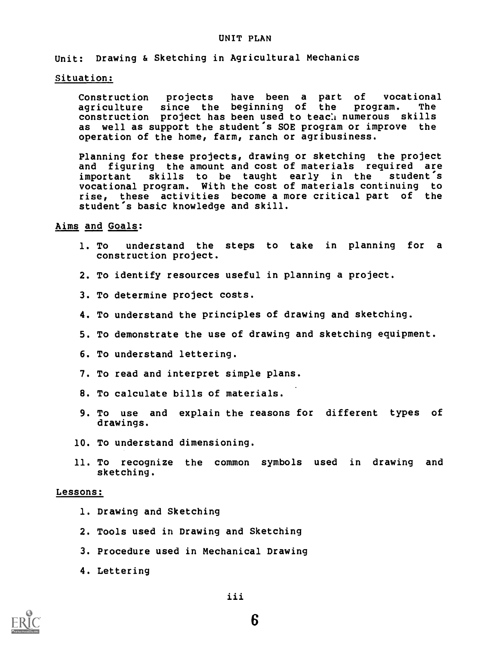#### UNIT PLAN

#### Unit: Drawing & Sketching in Agricultural Mechanics

#### Situation:

Construction projects have been a part of vocational agriculture since the beginning of the program. The construction project has been used to teacli numerous skills as well as support the student's SOE program or improve the operation of the home, farm, ranch or agribusiness.

Planning for these projects, drawing or sketching the project and figuring the amount and cost of materials required are<br>important skills to be taught early in the student's important skills to be taught early in the vocational program. With the cost of materials continuing to rise, these activities become a more critical part of the student's basic knowledge and skill.

#### Aims and Goals:

- 1. To understand the steps to take in planning for a construction project.
- 2. To identify resources useful in planning a project.
- 3. To determine project costs.
- 4. To understand the principles of drawing and sketching.
- 5. To demonstrate the use of drawing and sketching equipment.
- 6. To understand lettering.
- 7. To read and interpret simple plans.
- 8. To calculate bills of materials.
- 9. To use and explain the reasons for different types of drawings.
- 10. To understand dimensioning.
- 11. To recognize the common symbols used in drawing and sketching.

#### Lessons:

- 1. Drawing and Sketching
- 2. Tools used in Drawing and Sketching
- 3. Procedure used in Mechanical Drawing
- 4. Lettering



iii

6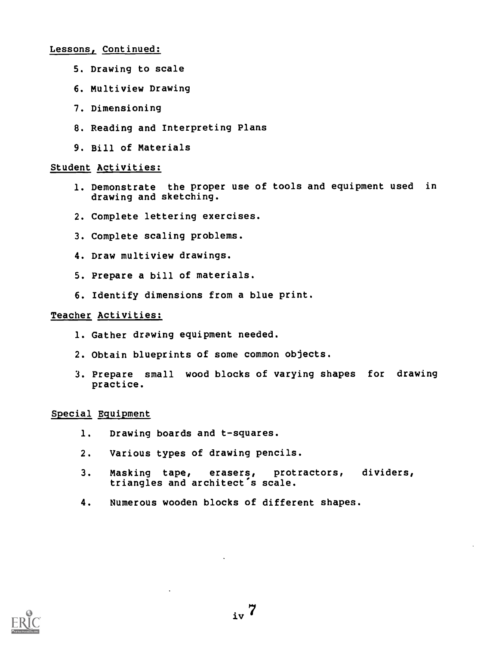#### Lessons, Continued:

- 5. Drawing to scale
- 6. Multiview Drawing
- 7. Dimensioning
- 8. Reading and Interpreting Plans
- 9. Bill of Materials

#### Student Activities:

- 1. Demonstrate the proper use of tools and equipment used in drawing and sketching.
- 2. Complete lettering exercises.
- 3. Complete scaling problems.
- 4. Draw multiview drawings.
- 5. Prepare a bill of materials.
- 6. Identify dimensions from a blue print.

#### Teacher Activities:

- 1. Gather drawing equipment needed.
- 2. Obtain blueprints of some common objects.
- 3. Prepare small wood blocks of varying shapes for drawing practice.

#### Special Equipment

- 1. Drawing boards and t-squares.
- 2. Various types of drawing pencils.
- 3. Masking tape, erasers, protractors, dividers, triangles and architect's scale.
- 4. Numerous wooden blocks of different shapes.

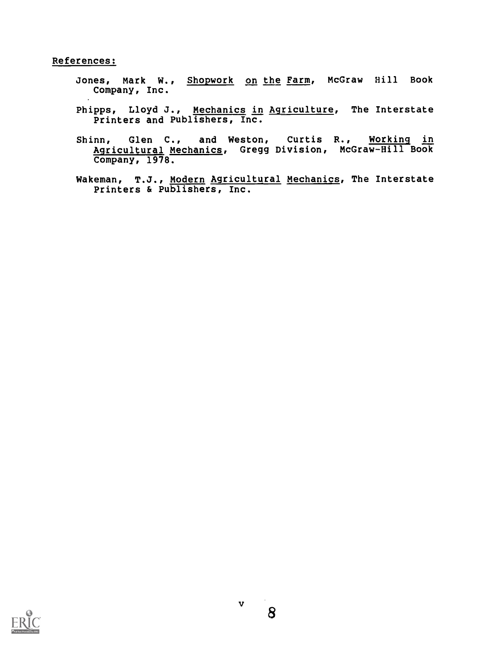#### References:

- Jones, Mark W., Shopwork on the Farm, McGraw Hill Book Company, Inc.
- Phipps, Lloyd J., Mechanics in Agriculture, The Interstate Printers and Publishers, Inc.
- Shinn, Glen C., and Weston, Curtis R., Working in Agricultural Mechanics, Gregg Division, McGraw-Hill Book Company, 1978.
- Wakeman, T.J., Modern Agricultural Mechanics, The Interstate Printers & Publishers, Inc.



8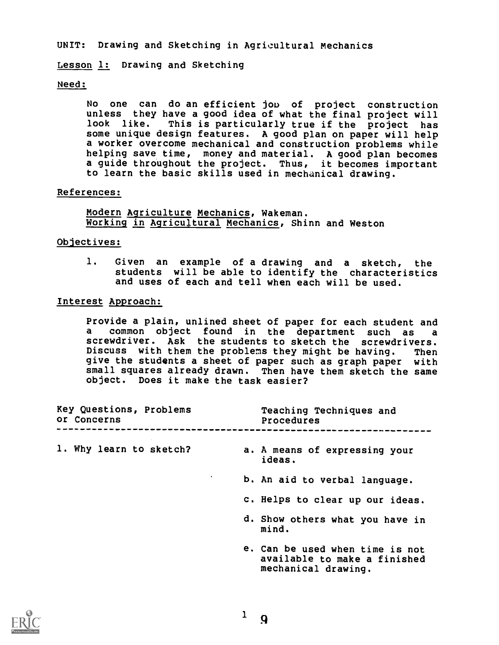UNIT: Drawing and Sketching in Agricultural Mechanics

Lesson 1: Drawing and Sketching

#### Need:

No one can do an efficient jou of project construction unless they have a good idea of what the final project will<br>look like. This is particularly true if the project has This is particularly true if the project has some unique design features. A good plan on paper will help a worker overcome mechanical and construction problems while helping save time, money and material. A good plan becomes a guide throughout the project. Thus, it becomes important to learn the basic skills used in mechanical drawing.

### References:

Modern Agriculture Mechanics, Wakeman. Working in Agricultural Mechanics, Shinn and Weston

#### Objectives:

1. Given an example of a drawing and a sketch, the students will be able to identify the characteristics and uses of each and tell when each will be used.

#### Interest Approach:

Provide a plain, unlined sheet of paper for each student and<br>a common object found in the department such as a a common object found in the department such as a<br>screwdriver. Ask the students to sketch the screwdrivers.<br>Discuss with them the problems they might be having. Then Discuss with them the problems they might be having. give the students a sheet of paper such as graph paper with small squares already drawn. Then have them sketch the same object. Does it make the task easier?

| Key Questions, Problems<br>or Concerns | Teaching Techniques and<br>Procedures                                                  |
|----------------------------------------|----------------------------------------------------------------------------------------|
| 1. Why learn to sketch?                | a. A means of expressing your<br>ideas.                                                |
|                                        | b. An aid to verbal language.                                                          |
|                                        | c. Helps to clear up our ideas.                                                        |
|                                        | d. Show others what you have in<br>mind.                                               |
|                                        | e. Can be used when time is not<br>available to make a finished<br>mechanical drawing. |

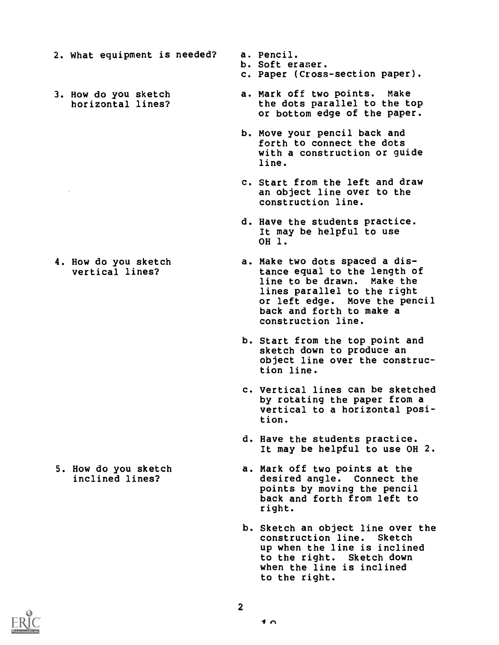- 2. What equipment is needed? a. Pencil.
- 3. How do you sketch horizontal lines?

4. How do you sketch vertical lines?

5. How do you sketch inclined lines?

- 
- b. Soft eraser.
- c. Paper (Cross-section paper).
- a. Mark off two points. Make the dots parallel to the top or bottom edge of the paper.
- b. Move your pencil back and forth to connect the dots with a construction or guide line.
- c. Start from the left and draw an object line over to the construction line.
- d. Have the students practice. It may be helpful to use OH 1.
- a. Make two dots spaced a distance equal to the length of line to be drawn. Make the lines parallel to the right or left edge. Move the pencil back and forth to make a construction line.
- b. Start from the top point and sketch down to produce an object line over the construction line.
- c. Vertical lines can be sketched by rotating the paper from a vertical to a horizontal position.
- d. Have the students practice. It may be helpful to use OH 2.
- a. Mark off two points at the desired angle. Connect the points by moving the pencil back and forth from left to right.
- b. Sketch an object line over the construction line. Sketch up when the line is inclined to the right. Sketch down when the line is inclined to the right.



 $1<sub>n</sub>$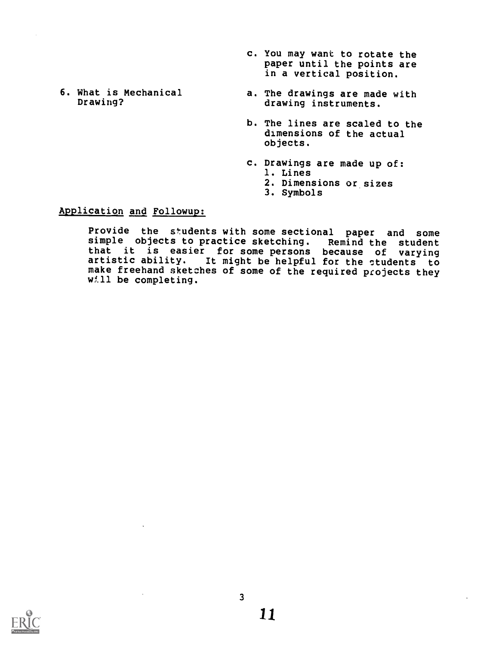- c. You may want to rotate the paper until the points are in a vertical position.
- 6. What is Mechanical a. The drawings are made with<br>Drawing? drawing instruments. drawing instruments.
	- b. The lines are scaled to the dimensions of the actual objects.
	- c. Drawings are made up of: 1. Lines
		- 2. Dimensions or sizes
		- 3. Symbols

#### Application and Followup:

Provide the students with some sectional paper and some simple objects to practice sketching. Remind the student that it is easier for some persons because of varying artistic ability. It might be helpful for the students to make freehand sketches of some of the required projects they will be completing.



3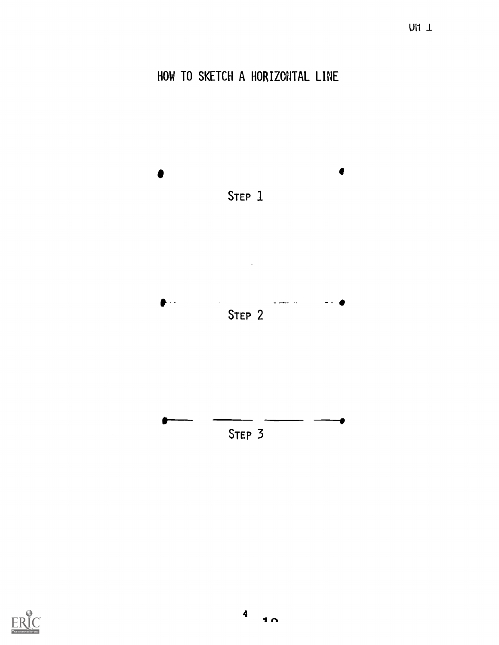## HOW TO SKETCH A HORIZONTAL LINE







4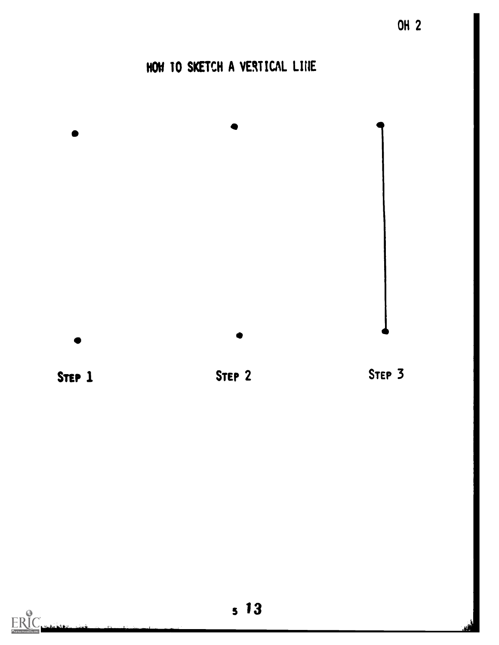OH 2

## HOW TO SKETCH A VERTICAL LINE



<sup>5</sup> 13

ERIC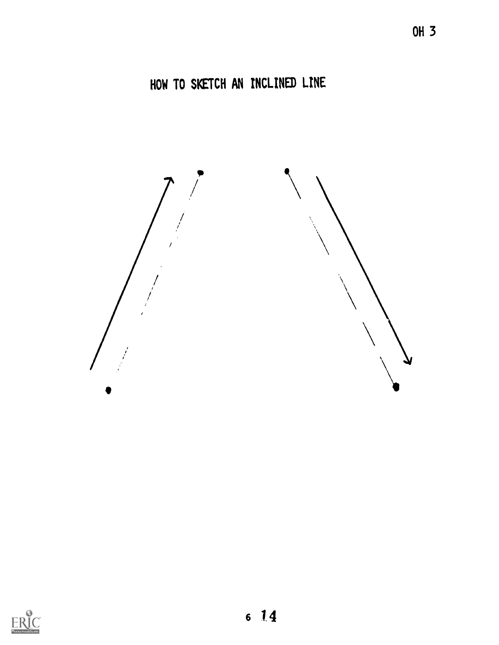# HOW TO SKETCH AN INCLINED LINE



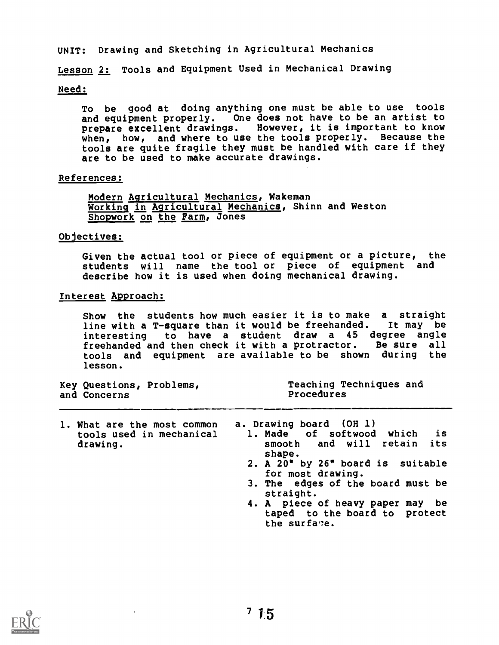UNIT: Drawing and Sketching in Agricultural Mechanics

Lesson 2: Tools and Equipment Used in Mechanical Drawing

#### Need:

To be good at doing anything one must be able to use tools and equipment properly. One does not have to be an artist to prepare excellent drawings. However, it is important to know when, how, and where to use the tools properly. Because the tools are quite fragile they must be handled with care if they are to be used to make accurate drawings.

#### References:

Modern Agricultural Mechanics, Wakeman Working in Agricultural Mechanics, Shinn and Weston Shopwork on the Farm, Jones

#### Objectives:

Given the actual tool or piece of equipment or a picture, the students will name the tool or piece of equipment and describe how it is used when doing mechanical drawing.

#### Interest Approach:

Show the students how much easier it is to make a straight line with a T-square than it would be freehanded. It may be interesting to have a student draw a 45 degree angle freehanded and then check it with a protractor. Be sure all tools and equipment are available to be shown during the lesson.

and Concerns

Key Questions, Problems, The Teaching Techniques and Techniques and Techniques and Techniques and Techniques and

- 1. What are the most common a. Drawing board (OH 1)<br>tools used in mechanical 1. Made of softwood
- - tools used in mechanical 1. Made of softwood which is<br>drawing. The smooth and will retain its smooth and will retain its shape.
		- 2. A 20" by 26" board is suitable for most drawing.
		- 3. The edges of the board must be straight.
		- 4. A piece of heavy paper may be taped to the board to protect the surface.

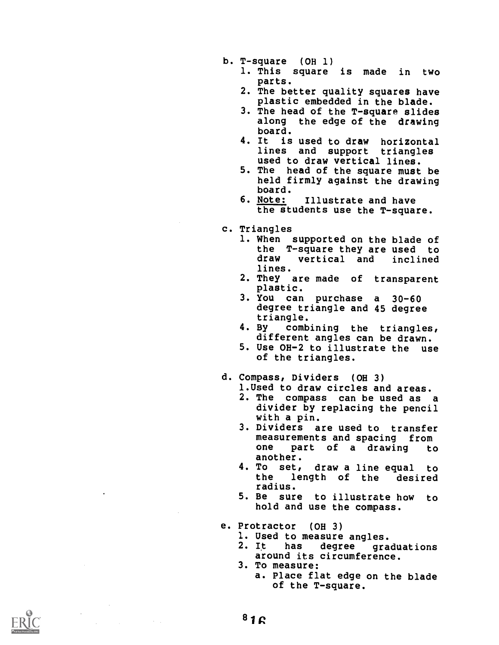- b. T-square (OH 1)
	- 1. This square is made in two parts.
	- 2. The better quality squares have plastic embedded in the blade.
	- 3. The head of the T-square slides along the edge of the drawing board.
	- 4. It is used to draw horizontal lines and support triangles used to draw vertical lines.
	- 5. The head of the square must be held firmly against the drawing board.<br>6. Note:
	- Illustrate and have the students use the T-square.
- c. Triangles
	- 1. When supported on the blade of the T-square they are used to<br>draw vertical and inclined vertical and lines.
	- 2. They are made of transparent plastic.
	- 3. You can purchase a 30-60 degree triangle and 45 degree triangle.<br>4. By comb
	- combining the triangles, different angles can be drawn.
	- 5. Use OH-2 to illustrate the use of the triangles.
- d. Compass, Dividers (OH 3)
	- 1.Used to draw circles and areas.
	- 2. The compass can be used as a divider by replacing the pencil with a pin.
	- 3. Dividers are used to transfer measurements and spacing from<br>one part of a drawing to part of a drawing to another.
	- 4. To set, draw a line equal to<br>the length of the desired length of the desired radius.
	- 5. Be sure to illustrate how to hold and use the compass.
- e. Protractor (OH 3)
	- 1. Used to measure angles.<br>2. It has degree gra
	- graduations around its circumference.
	- 3. To measure:
		- a. Place flat edge on the blade of the T-square.

 $\sim 200$  km s  $^{-1}$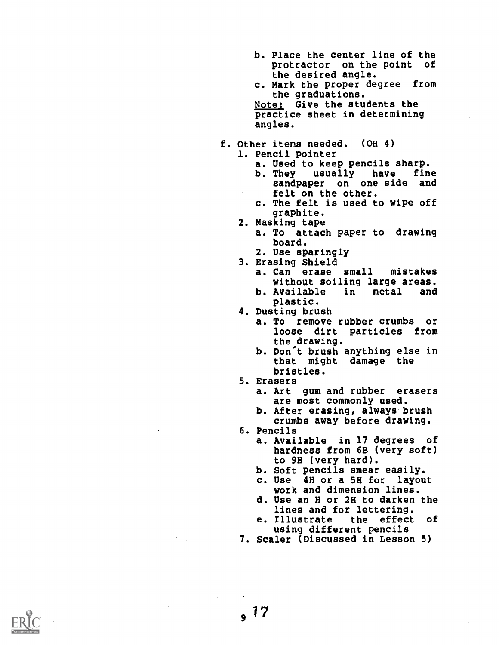- b. Place the center line of the protractor on the point of the desired angle.
- c. Mark the proper degree from the graduations.

Note: Give the students the practice sheet in determining angles.

- f. Other items needed. (OH 4)
	- 1. Pencil pointer
		- a. Used to keep pencils sharp.<br>b. They usually have fine
		- b. They usually have sandpaper on one side and felt on the other.
		- c. The felt is used to wipe off graphite.
	- 2. Masking tape
		- a. To attach paper to drawing board.
		- 2. Use sparingly
	-
	- 3. Erasing Shield<br>
	a. Can erase small mistakes a. Can erase small without soiling large areas.
		- b. Available in metal and plastic.
	- 4. Dusting brush
		- a. To remove rubber crumbs or loose dirt particles from the drawing.
		- b. Don't brush anything else in that might damage the bristles.
	- 5. Erasers
		- a. Art gum and rubber erasers are most commonly used.
		- b. After erasing, always brush crumbs away before drawing.
	- 6. Pencils
		- a. Available in 17 degrees of hardness from 6B (very soft) to 9H (very hard).
		- b. Soft pencils smear easily.
		- c. Use 4H or a 5H for layout work and dimension lines.
		- d. Use an H or 28 to darken the lines and for lettering.
		- e. Illustrate the effect of using different pencils
	- 7. Scaler (Discussed in Lesson 5)

9'''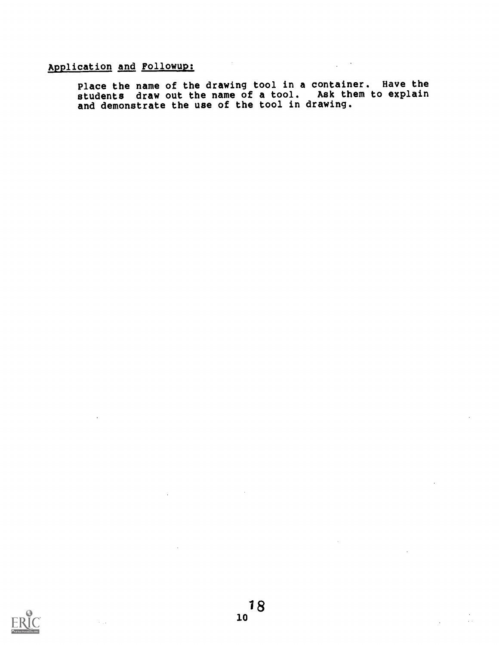### Application and Followup:

Place the name of the drawing tool in a container. Have the students draw out the name of a tool. Ask them to explain and demonstrate the use of the tool in drawing.

 $\sim 10^{11}$ 

 $\sim$ 



 $\hat{\mathcal{A}}$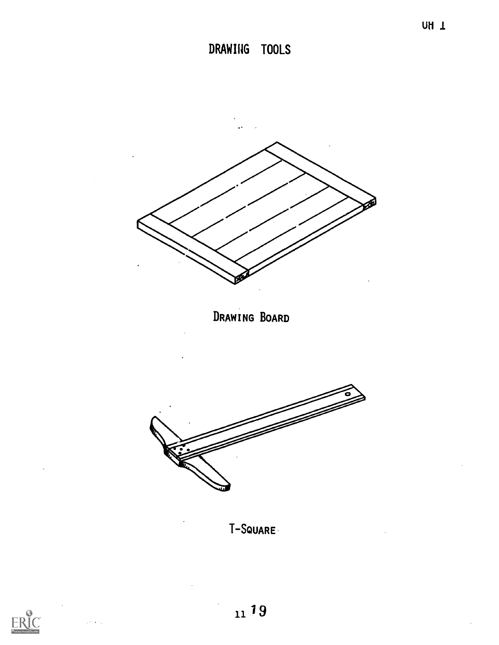

T-SQUARE

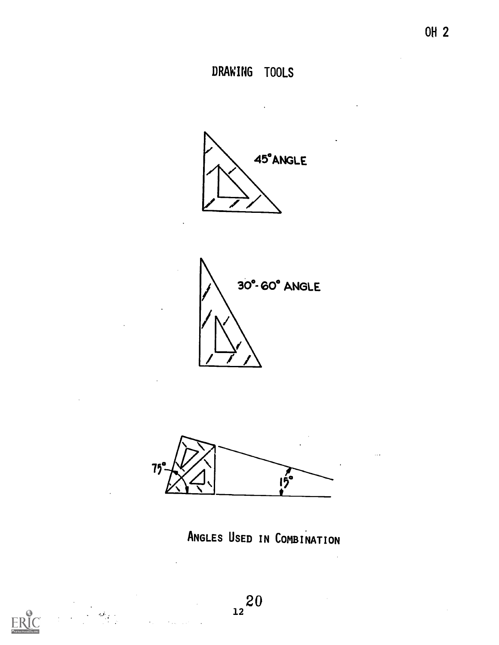# DRAWING TOOLS







ANGLES USED IN COMBINATION

 $20$  and  $20$ 12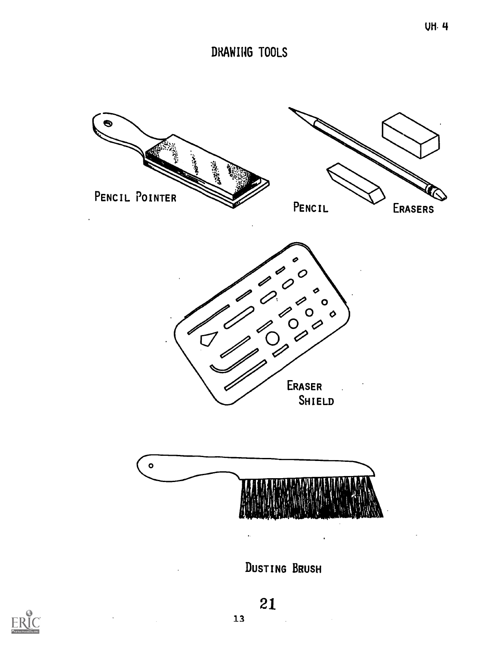



 $\sim$   $\sim$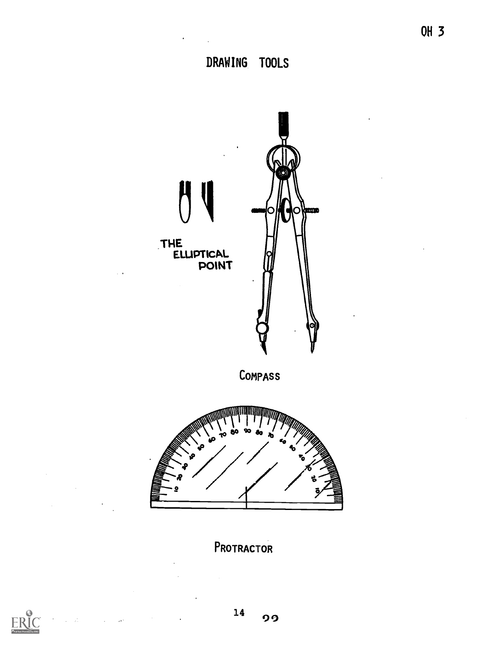## DRAWING TOOLS

 $\sim$   $\sim$ 



COMPASS



PROTRACTOR

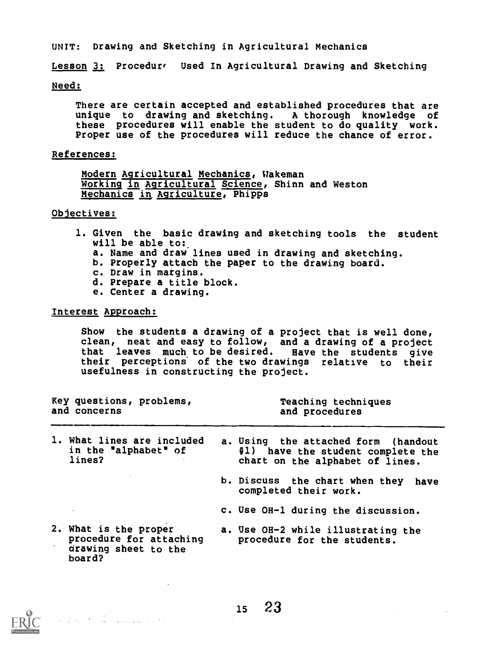UNIT: Drawing and Sketching in Agricultural Mechanics

Lesson 3: Procedurr Used In Agricultural Drawing and Sketching

#### Need:

There are certain accepted and established procedures that are unique to drawing and sketching. A thorough knowledge of these procedures will enable the student to do quality work. Proper use of the procedures will reduce the chance of error.

#### References:

Modern Agricultural Mechanics, Wakeman Working in Agricultural Science, Shinn and Weston Mechanics in Agriculture, Phipps

#### Objectives:

1. Given the basic drawing and sketching tools the student will be able to: a. Name and draw lines used in drawing and sketching. b. Properly attach the paper to the drawing board. c. Draw in margins. d. Prepare a title block. e. Center a drawing.

#### Interest Approach:

Show the students a drawing of a project that is well done, clean, neat and easy to follow, and a drawing of a project that leaves much.to be desired. Have the students give their perceptions of the two drawings relative to their usefulness in constructing the project.

| Key questions, problems,<br>and concerns                                           | Teaching techniques<br>and procedures                                                                       |
|------------------------------------------------------------------------------------|-------------------------------------------------------------------------------------------------------------|
| 1. What lines are included<br>in the "alphabet" of<br>lines?                       | a. Using the attached form (handout<br>#1) have the student complete the<br>chart on the alphabet of lines. |
|                                                                                    | b. Discuss the chart when they have<br>completed their work.                                                |
|                                                                                    | c. Use OH-1 during the discussion.                                                                          |
| 2. What is the proper<br>procedure for attaching<br>drawing sheet to the<br>board? | a. Use OH-2 while illustrating the<br>procedure for the students.                                           |

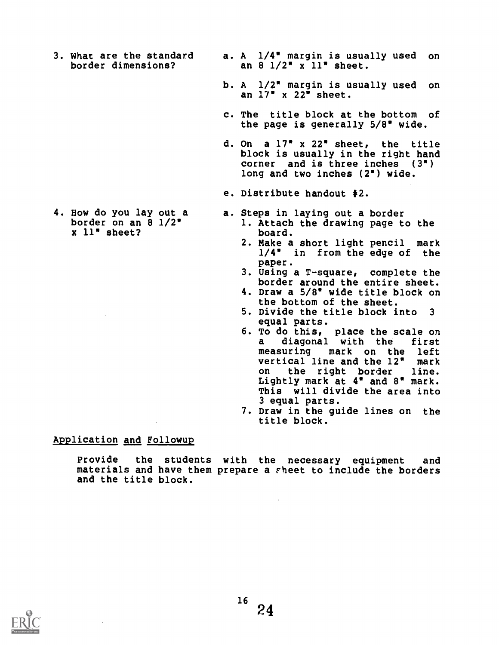4. How do you lay out a border on an 8 1/2" x 11" sheet?

- 3. What are the standard  $a. A 1/4$ " margin is usually used on border dimensions?  $a. B 1/2$ " x  $11$ " sheet. an 8  $1/2$ " x 11" sheet.
	- b. A 1/2" margin is usually used on an  $17"$  x  $22"$  sheet.
	- c. The title block at the bottom of the page is generally 5/8" wide.
	- d. On a 17" x 22" sheet, the title block is usually in the right hand corner and is three inches  $(3<sup>n</sup>)$ long and two inches (2") wide.
	- e. Distribute handout #2.
	- a. Steps in laying out a border
		- 1. Attach the drawing page to the board.
			- 2. Make a short light pencil mark 1/4' in from the edge of the paper.
		- 3. Using a T-square, complete the border around the entire sheet.
		- 4. Draw a 5/8" wide title block on the bottom of the sheet.
		- 5. Divide the title block into 3 equal parts.
		- 6. To do this, place the scale on a diagonal with the first measuring mark on the left vertical line and the 12" mark<br>on the right border line. the right border Lightly mark at 4" and 8" mark. This will divide the area into 3 equal parts.
		- 7. Draw in the guide lines on the title block.

#### Application and Followup

Provide the students with the necessary equipment and materials and have them prepare a rheet to include the borders and the title block.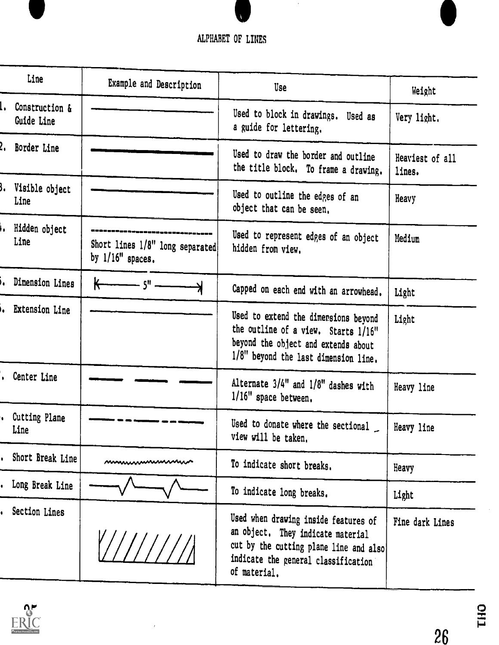

 $\mathcal{S}_{\mathcal{S}}$ 

| Line                         | Example and Description                               | <b>Use</b>                                                                                                                                                                 | Weight                    |
|------------------------------|-------------------------------------------------------|----------------------------------------------------------------------------------------------------------------------------------------------------------------------------|---------------------------|
| Construction &<br>Guide Line |                                                       | Used to block in drawings. Used as<br>a guide for lettering.                                                                                                               | Very light.               |
| Border Line                  |                                                       | Used to draw the border and outline<br>the title block. To frame a drawing.                                                                                                | Heaviest of all<br>lines. |
| Visible object<br>Line       |                                                       | Used to outline the edges of an<br>object that can be seen.                                                                                                                | Heavy                     |
| Hidden object<br>Line        | Short lines 1/8" long separated<br>by $1/16"$ spaces. | Used to represent edges of an object<br>hidden from view.                                                                                                                  | Medium                    |
| Dimension Lines              |                                                       | Capped on each end with an arrowhead.                                                                                                                                      | Light                     |
| Extension Line               |                                                       | Used to extend the dimensions beyond<br>the outline of a view. Starts 1/16"<br>beyond the object and extends about<br>1/8" beyond the last dimension line.                 | Light                     |
| Center Line                  |                                                       | Alternate $3/4$ " and $1/8$ " dashes with<br>$1/16"$ space between.                                                                                                        | Heavy line                |
| Cutting Plane<br>Line        |                                                       | Used to donate where the sectional<br>view will be taken.                                                                                                                  | Heavy line                |
| Short Break Line             | mmuummmmm                                             | To indicate short breaks.                                                                                                                                                  | Heavy                     |
| Long Break Line              |                                                       | To indicate long breaks.                                                                                                                                                   | Light                     |
| Section Lines                |                                                       | Used when drawing inside features of<br>an object. They indicate material<br>cut by the cutting plane line and also<br>indicate the general classification<br>of material. | Fine dark Lines           |

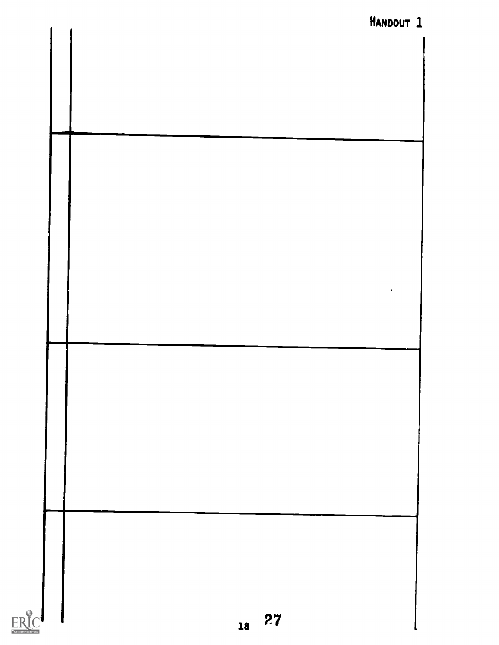|                                                                                                                 | HANDOUT 1 |  |
|-----------------------------------------------------------------------------------------------------------------|-----------|--|
|                                                                                                                 |           |  |
|                                                                                                                 |           |  |
|                                                                                                                 |           |  |
|                                                                                                                 |           |  |
|                                                                                                                 |           |  |
|                                                                                                                 |           |  |
|                                                                                                                 |           |  |
|                                                                                                                 |           |  |
|                                                                                                                 |           |  |
|                                                                                                                 |           |  |
|                                                                                                                 |           |  |
|                                                                                                                 |           |  |
|                                                                                                                 |           |  |
|                                                                                                                 |           |  |
|                                                                                                                 |           |  |
|                                                                                                                 |           |  |
|                                                                                                                 |           |  |
|                                                                                                                 |           |  |
|                                                                                                                 |           |  |
|                                                                                                                 |           |  |
|                                                                                                                 |           |  |
|                                                                                                                 |           |  |
|                                                                                                                 |           |  |
|                                                                                                                 |           |  |
|                                                                                                                 |           |  |
|                                                                                                                 |           |  |
|                                                                                                                 |           |  |
|                                                                                                                 |           |  |
|                                                                                                                 |           |  |
|                                                                                                                 |           |  |
|                                                                                                                 |           |  |
|                                                                                                                 |           |  |
|                                                                                                                 |           |  |
|                                                                                                                 |           |  |
| $\boxed{\frac{\sum_{\mathsf{F}}\mathsf{RUC}^{\mathsf{t}}}{\sum_{\mathsf{F}}\mathsf{LULRMLP}(P)\mathsf{EMLP}}}}$ | 27<br>18  |  |
|                                                                                                                 |           |  |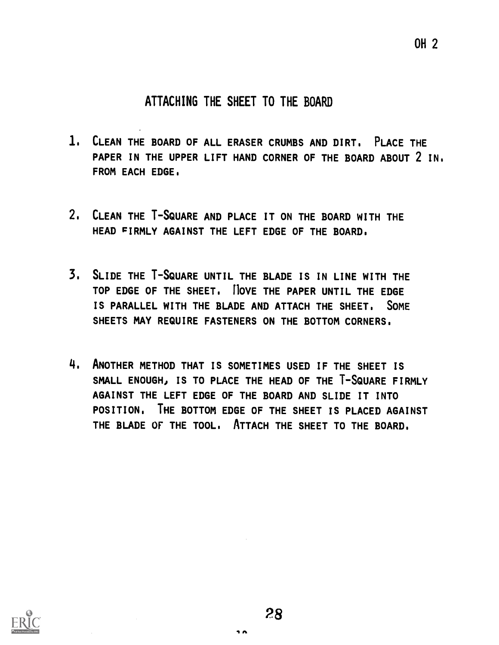### ATTACHING THE SHEET TO THE BOARD

- 11 CLEAN THE BOARD OF ALL ERASER CRUMBS AND DIRT. PLACE THE PAPER IN THE UPPER LIFT HAND CORNER OF THE BOARD ABOUT 2 IN. FROM EACH EDGE.
- 2, CLEAN THE T-SQUARE AND PLACE IT ON THE BOARD WITH THE HEAD PIRMLY AGAINST THE LEFT EDGE OF THE BOARD.
- 3. SLIDE THE T-SQUARE UNTIL THE BLADE IS IN LINE WITH THE TOP EDGE OF THE SHEET. NOVE THE PAPER UNTIL THE EDGE IS PARALLEL WITH THE BLADE AND ATTACH THE SHEET. SOME SHEETS MAY REQUIRE FASTENERS ON THE BOTTOM CORNERS.
- 4. ANOTHER METHOD THAT IS SOMETIMES USED IF THE SHEET IS SMALL ENOUGH, IS TO PLACE THE HEAD OF THE T-SQUARE FIRMLY AGAINST THE LEFT EDGE OF THE BOARD AND SLIDE IT INTO POSITION. THE BOTTOM EDGE OF THE SHEET IS PLACED AGAINST THE BLADE OF THE TOOL. ATTACH THE SHEET TO THE BOARD.



28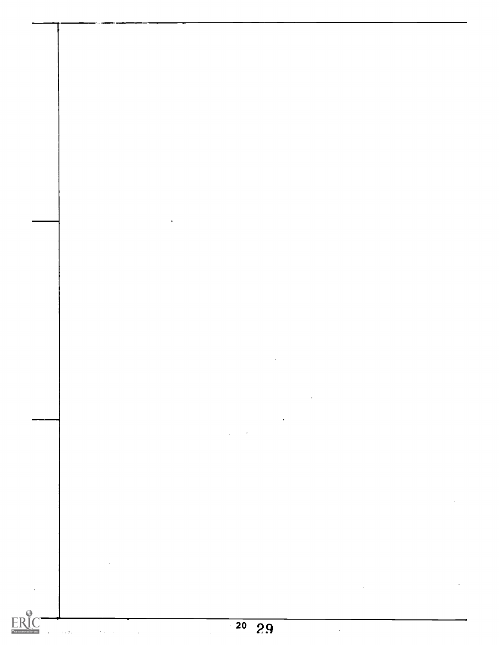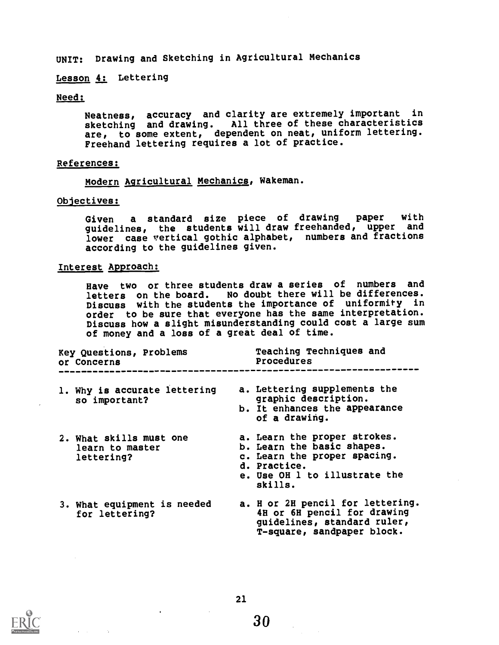UNIT: Drawing and Sketching in Agricultural Mechanics

Lesson 4: Lettering

#### Need:

Neatness, accuracy and clarity are extremely important in sketching and drawing. All three of these characteristics are, to some extent, dependent on neat, uniform lettering. Freehand lettering requires a lot of practice.

#### References:

Modern Agricultural Mechanics, Wakeman.

#### Objectives:

Given a standard size piece of drawing paper with guidelines, the students will draw freehanded, upper and lower case vertical gothic alphabet, numbers and fractions according to the guidelines given.

#### Interest Approach:

Have two or three students draw a series of numbers and letters on the board. No doubt there will be differences. Discuss with the students the importance of uniformity in order to be sure that everyone has the same interpretation. Discuss how a slight misunderstanding could cost a large sum of money and a loss of a great deal of time.

| or Concerns    | Key Questions, Problems                    | Teaching Techniques and<br>Procedures                                                                                                                  |
|----------------|--------------------------------------------|--------------------------------------------------------------------------------------------------------------------------------------------------------|
| so important?  | 1. Why is accurate lettering               | a. Lettering supplements the<br>graphic description.<br>b. It enhances the appearance<br>of a drawing.                                                 |
| lettering?     | 2. What skills must one<br>learn to master | a. Learn the proper strokes.<br>b. Learn the basic shapes.<br>c. Learn the proper spacing.<br>d. Practice.<br>e. Use OH 1 to illustrate the<br>skills. |
| for lettering? | 3. What equipment is needed                | a. H or 2H pencil for lettering.<br>4H or 6H pencil for drawing<br>guidelines, standard ruler,<br>T-square, sandpaper block.                           |

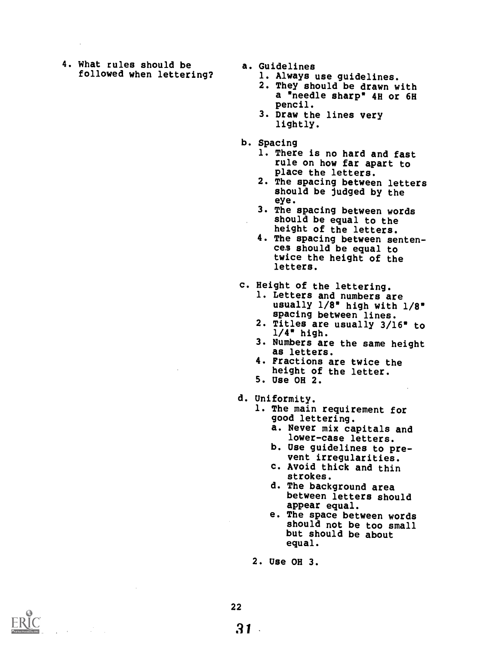- 4. What rules should be followed when lettering?
- a. Guidelines
	- 1. Always use guidelines.
	- 2. They should be drawn with a "needle sharp" 4H or 6H pencil.
	- 3. Draw the lines very lightly.
- b. Spacing
	- 1. There is no hard and fast rule on how far apart to place the letters.
	- 2. The spacing between letters should be judged by the eye.
	- 3. The spacing between words should be equal to the height of the letters.
	- 4. The spacing between sentences should be equal to twice the height of the letters.
- c. Height of the lettering.
	- 1. Letters and numbers are usually 1/8" high with 1/8" spacing between lines.
	- 2. Titles are usually 3/16" to 1/4" high.
	- 3. Numbers are the same height as letters.
	- 4. Fractions are twice the height of the letter.
	- 5. Use OH 2.
- d. Uniformity.
	- 1. The main requirement for good lettering.
		- a. Never mix capitals and lower-case letters.
		- b. Use guidelines to prevent irregularities.
		- c. Avoid thick and thin strokes.
		- d. The background area between letters should appear equal.
		- e. The space between words should not be too small but should be about equal.
	- 2. Use OH 3.



 $31<sub>1</sub>$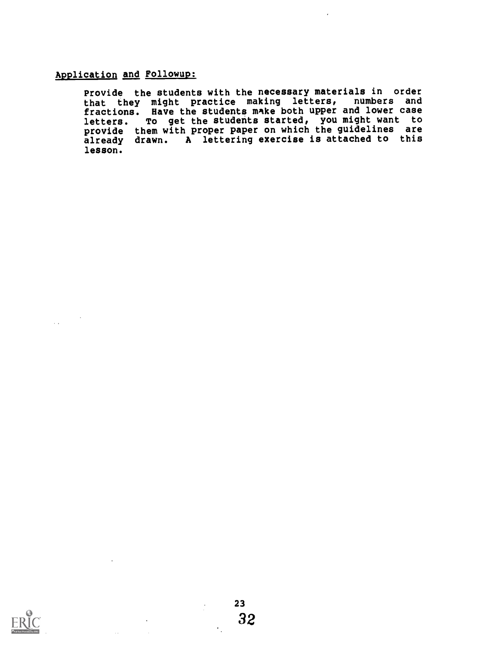#### Application and Followup:

Provide the students with the necessary materials in order that they might practice making letters, numbers and fractions. Have the students mnke both upper and lower case letters. To get the students started, you might want to provide them with proper paper on which the guidelines are already drawn. A lettering exercise is attached to this lesson.

 $\sim$ 



 $\hat{\mathcal{A}}$ 

 $\label{eq:1} \frac{1}{\sqrt{2\pi}}\int_{0}^{\infty}\frac{1}{\sqrt{2\pi}}\left(\frac{1}{\sqrt{2\pi}}\right)^{2\alpha}d\mu.$ 

 $\mathcal{F}_1$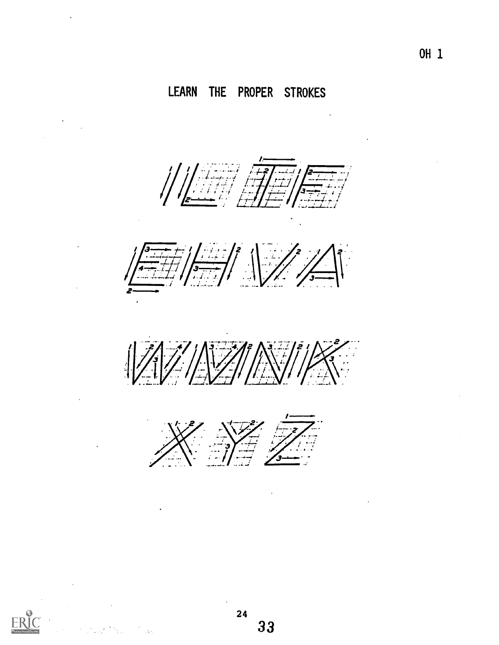### LEARN THE PROPER STROKES

 $\frac{1}{\sqrt{\frac{2}{\pi}}}\frac{1}{\sqrt{\frac{2}{\pi}}}}$ 



 $\frac{1}{2}$ 





33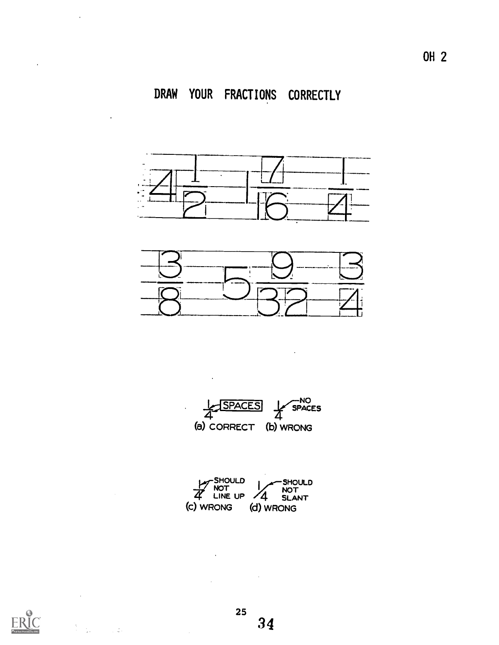## DRAW YOUR FRACTIONS CORRECTLY







 $\alpha$ 

SHOULD I GH NOT IZ LINE UP  $\angle 4$  SL (C) WRONG 1 zatrould and the set of the set of the set of the set of the set of the set of the set of the set of the set o  $\frac{1}{4}$  SLANT (d) WRONG



 $\sum_{i=1}^N \frac{1}{2\pi i}$ 

an Salah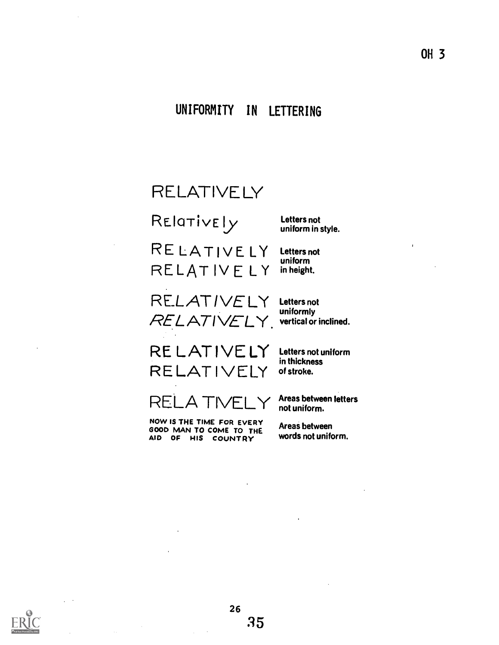## UNIFORMITY IN LETTERING

# RELATIVELY

REIGTIVELY

Letters not uniform in style.

RELATIVELY RELATIVE LY

Letters not uniform in height.

**RELATIVELY** RELATIVELY.

Letters not uniformly vertical or inclined.

RE LAT IVE LY RELATIVELY

Letters not uniform in thickness of stroke.



NOW IS THE TIME FOR EVERY GOOD MAN TO COME TO THE AID OF HIS COUNTRY

Areas between letters not uniform.

Areas between words not uniform.

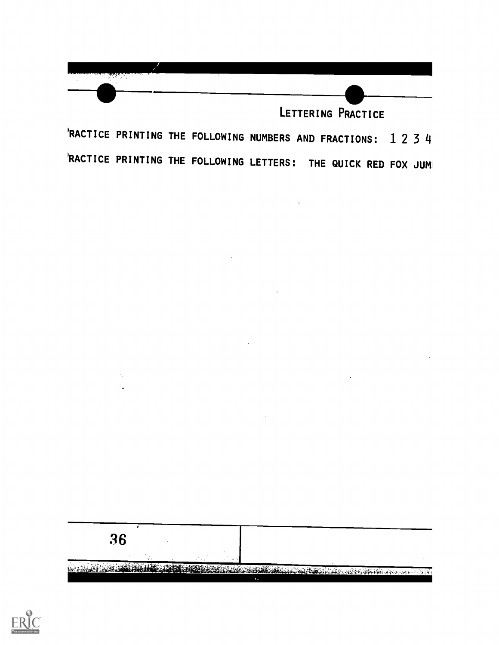

'RACTICE PRINTING THE FOLLOWING NUMBERS AND FRACTIONS: 1 2 3 4 'RACTICE PRINTING THE FOLLOWING LETTERS: THE QUICK RED FOX JUMI

 $\mathcal{L}(\mathcal{L}(\mathcal{L}(\mathcal{L}(\mathcal{L}(\mathcal{L}(\mathcal{L}(\mathcal{L}(\mathcal{L}(\mathcal{L}(\mathcal{L}(\mathcal{L}(\mathcal{L}(\mathcal{L}(\mathcal{L}(\mathcal{L}(\mathcal{L}(\mathcal{L}(\mathcal{L}(\mathcal{L}(\mathcal{L}(\mathcal{L}(\mathcal{L}(\mathcal{L}(\mathcal{L}(\mathcal{L}(\mathcal{L}(\mathcal{L}(\mathcal{L}(\mathcal{L}(\mathcal{L}(\mathcal{L}(\mathcal{L}(\mathcal{L}(\mathcal{L}(\mathcal{L}(\mathcal{$ 

 $\sim 10$ 

 $\sim$   $\sim$ 

| de la composición de la composición de la composición de la composición de la composición de la composición de |
|----------------------------------------------------------------------------------------------------------------|



 $\mathcal{L}^{\text{max}}_{\text{max}}$  , where  $\mathcal{L}^{\text{max}}_{\text{max}}$ 

 $\sim 10^7$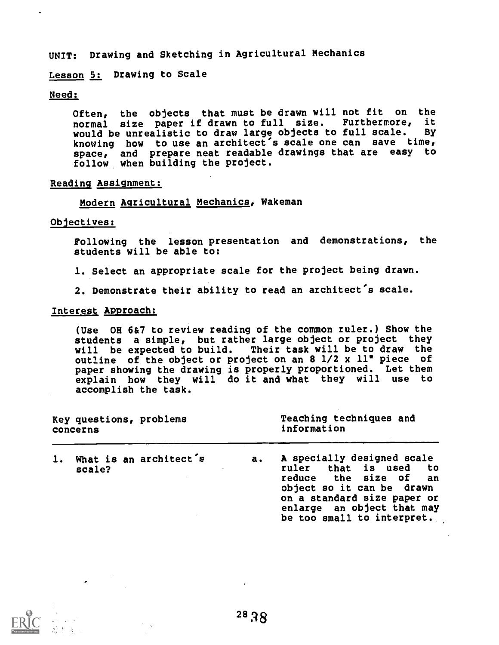UNIT: Drawing and Sketching in Agricultural Mechanics

Lesson 5: Drawing to Scale

Need:

Often, the objects that must be drawn will not fit on the normal size paper if drawn to full size. Furthermore, it would be unrealistic to draw large objects to full scale. By knowing how to use an architect's scale one can save time, space, and prepare neat readable drawings that are easy to follow when building the project.

Reading Assignment:

Modern Agricultural Mechanics, Wakeman

Objectives:

Following the lesson presentation and demonstrations, the students will be able to:

1. Select an appropriate scale for the project being drawn.

2. Demonstrate their ability to read an architect's scale.

#### Interest Approach:

(Use OH 6&7 to review reading of the common ruler.) Show the students a simple, but rather large object or project they will be expected to build. Their task will be to draw the outline of the object or project on an 8 1/2 x 11" piece of paper showing the drawing is properly proportioned. Let them explain how they will do it and what they will use to accomplish the task.

| Key questions, problems |                                  |           | Teaching techniques and                                                                                                                                                                                    |  |
|-------------------------|----------------------------------|-----------|------------------------------------------------------------------------------------------------------------------------------------------------------------------------------------------------------------|--|
| concerns                |                                  |           | information                                                                                                                                                                                                |  |
| 1.                      | What is an architect's<br>scale? | <b>a.</b> | A specially designed scale<br>ruler that is used<br>to to<br>reduce the size of an<br>object so it can be drawn<br>on a standard size paper or<br>enlarge an object that may<br>be too small to interpret. |  |

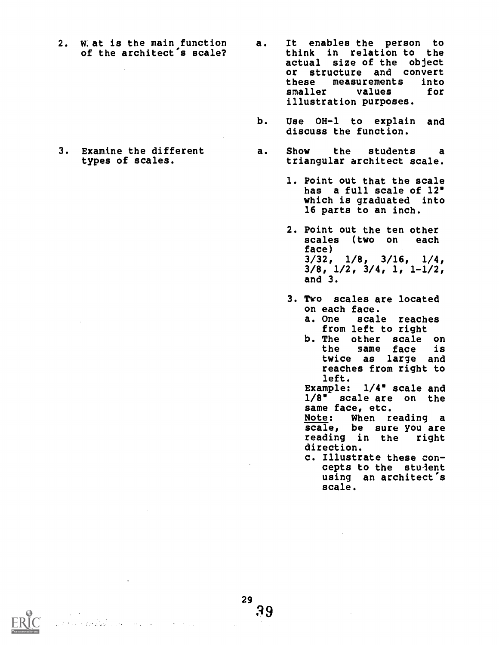2. W.at is the main function of the architect's scale?

- 3. Examine the different<br>types of scales.
- It enables the person to think in relation to the actual size of the object or structure and convert<br>these measurements into these measurements into<br>smaller values for smaller values illustration purposes.
- b. Use OH-1 to explain and discuss the function.
- a. Show the students a triangular architect scale.
	- 1. Point out that the scale has a full scale of 12" which is graduated into 16 parts to an inch.
	- 2. Point out the ten other scales (two on each face) 3/32, 1/8, 3/16, 1/4,  $3/8$ ,  $1/2$ ,  $3/4$ ,  $1$ ,  $1-1/2$ , and 3.
	- 3. Two scales are located on each face.
		- a. One scale reaches from left to right
		- b. The other scale on the same face is twice as large and reaches from right to left.

Example: 1/4" scale and 1/8" scale are on the same face, etc.

Note: When reading a scale, be sure you are reading in the right direction.

c. Illustrate these concepts to the student using an architect's scale.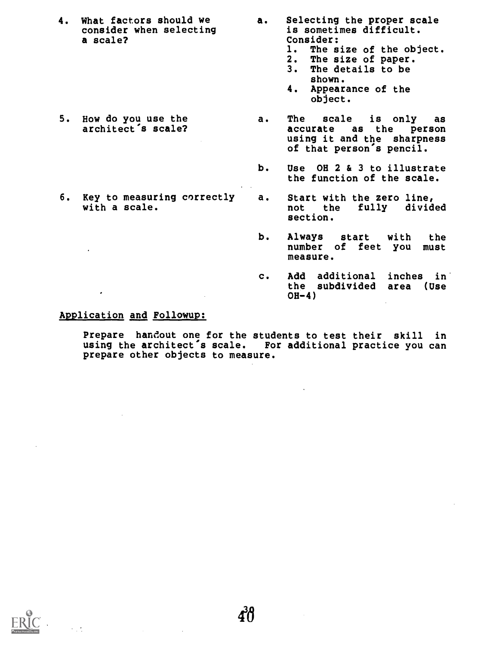4. What factors should we consider when selecting a scale?

- 5. How do you use the architect's scale?
- 6. Key to measuring correctly with a scale.
- Selecting the proper scale is sometimes difficult. Consider:
	- 1. The size of the object.<br>2. The size of paper.
	- 2. The size of paper.<br>3. The details to be
	- The details to be shown.
	- 4. Appearance of the object.
- a. The scale is only as accurate as the person using it and the sharpness of that person's pencil.
- b. Use OH 2 & 3 to illustrate the function of the scale.
	- Start with the zero line, not the fully divided section.
- b. Always start with the number of feet you must measure.
- c. Add additional inches in the subdivided area (Use  $OH-4)$

## Application and Followup:

Prepare handout one for the students to test their skill in using the architect's scale. For additional practice you can prepare other objects to measure.

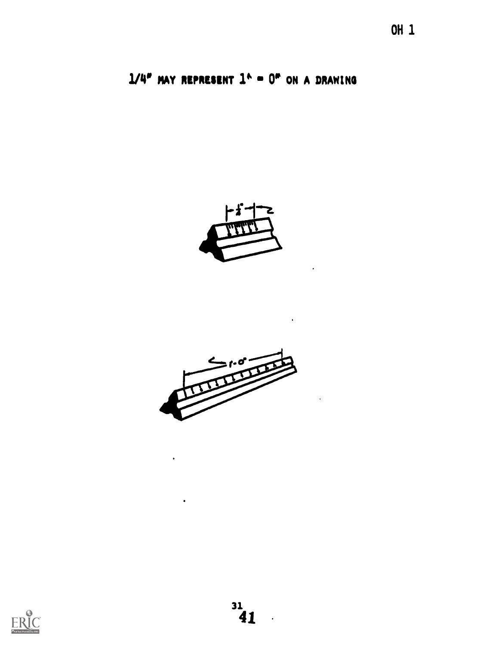

 $\mathbb{R}^2$ 





 $1/4''$  MAY REPRESENT  $1^6 = 0^6$  on a DRAWING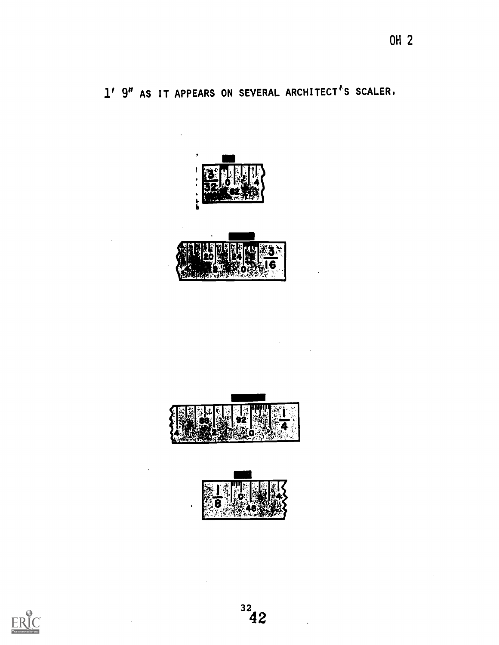# 1' 9" AS IT APPEARS ON SEVERAL ARCHITECT'S SCALER.



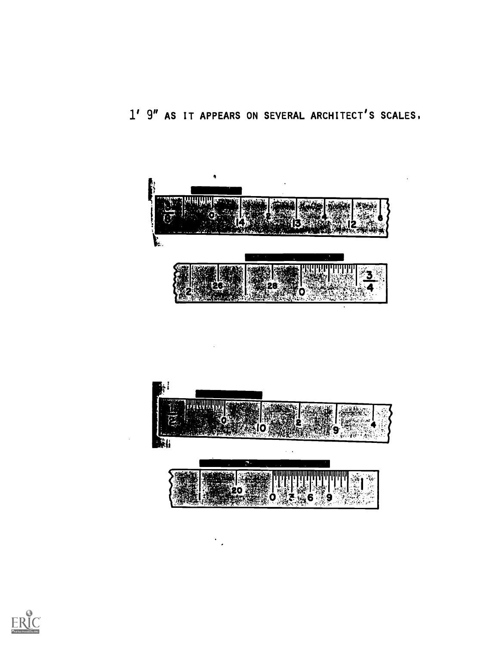1' 9" AS IT APPEARS ON SEVERAL ARCHITECT'S SCALES.



 $\mathcal{F}_{\mathcal{A}}$ 

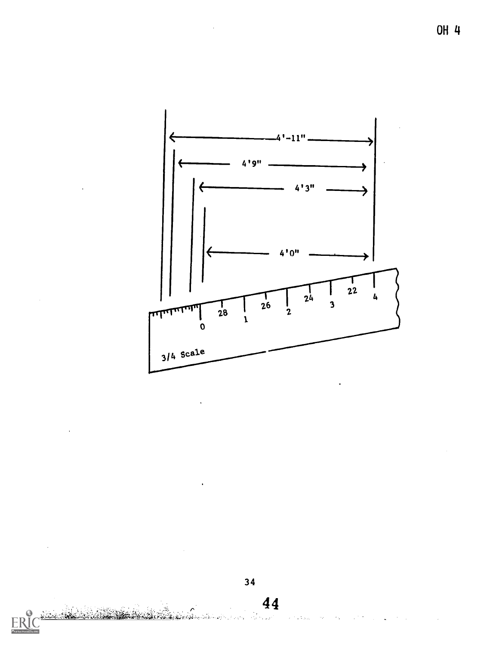OH 4





 $34$ 

 $\psi_{\alpha\beta}^{\alpha\beta}$  is given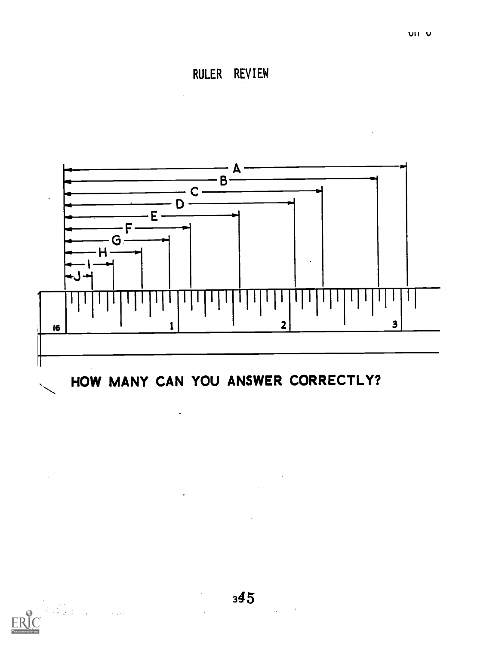# RULER REVIEW

 $\hat{\mathcal{A}}$ 

 $\ddot{\phantom{0}}$ 

 $\mathcal{F}_{\text{max}}$ 





 $\bar{z}$ 

 $\mathcal{L}_{\mathrm{F}}$  and  $\mathcal{L}_{\mathrm{F}}$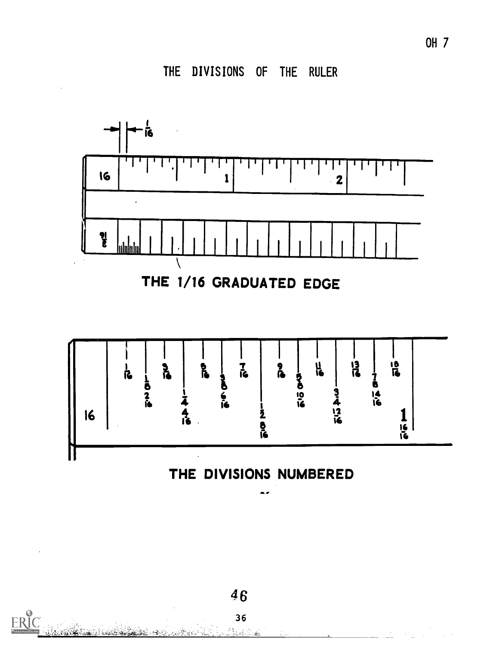

36 

ERIC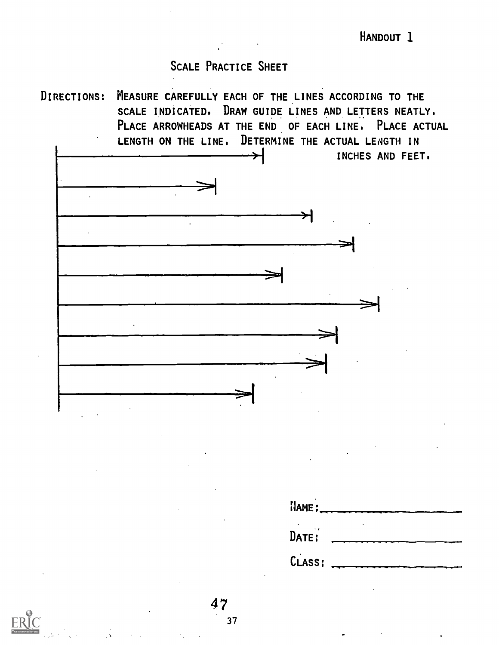# SCALE PRACTICE SHEET

DIRECTIONS: MEASURE CAREFULLY EACH OF THE LINES ACCORDING TO THE SCALE INDICATED. DRAW GUIDE LINES AND LETTERS NEATLY. PLACE ARROWHEADS AT THE END OF EACH LINE. PLACE ACTUAL LENGTH ON THE LINE. DETERMINE THE ACTUAL LENGTH IN INCHES AND FEET.



 $\blacksquare$ 

4 7 37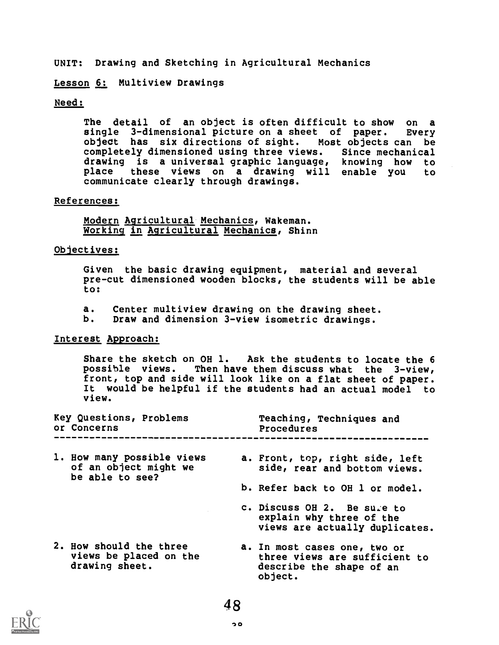### UNIT: Drawing and Sketching in Agricultural Mechanics

## Lesson 6: Multiview Drawings

### Need:

The detail of an object is often difficult to show on a single 3-dimensional picture on a sheet of paper. Every object has six directions of sight. Most objects can be completely dimensioned using three views. Since mechanical drawing is a universal graphic language, knowing how to these views on a drawing will enable you to communicate clearly through drawings.

### References:

Modern Agricultural Mechanics, Wakeman. Working in Agricultural Mechanics, Shinn

### Objectives:

Given the basic drawing equipment, material and several pre-cut dimensioned wooden blocks, the students will be able to:

- a. Center multiview drawing on the drawing sheet.<br>b. Draw and dimension 3-view isometric drawings.
- Draw and dimension 3-view isometric drawings.

### Interest Approach:

Share the sketch on OH 1. Ask the students to locate the 6 possible views. Then have them discuss what the 3-view, front, top and side will look like on a flat sheet of paper. It would be helpful if the students had an actual model to view.

| Key Questions, Problems<br>or Concerns |                                                                        |  | Teaching, Techniques and<br>Procedures                                                               |
|----------------------------------------|------------------------------------------------------------------------|--|------------------------------------------------------------------------------------------------------|
|                                        | 1. How many possible views<br>of an object might we<br>be able to see? |  | a. Front, top, right side, left<br>side, rear and bottom views.                                      |
|                                        |                                                                        |  | b. Refer back to OH 1 or model.                                                                      |
|                                        |                                                                        |  | c. Discuss OH 2. Be sure to<br>explain why three of the<br>views are actually duplicates.            |
|                                        | 2. How should the three<br>views be placed on the<br>drawing sheet.    |  | a. In most cases one, two or<br>three views are sufficient to<br>describe the shape of an<br>object. |

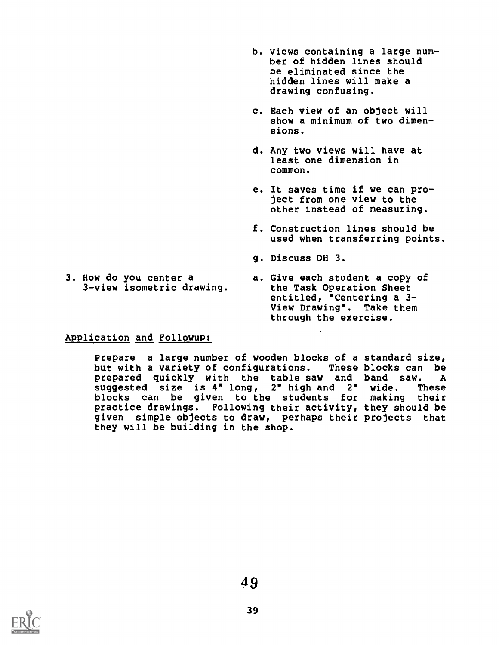- b. Views containing a large number of hidden lines should be eliminated since the hidden lines will make a drawing confusing.
- c. Each view of an object will show a minimum of two dimensions.
- d. Any two views will have at least one dimension in common.
- e. It saves time if we can project from one view to the other instead of measuring.
- f. Construction lines should be used when transferring points.
- g. Discuss OH 3.
- 3. How do you center a 3-view isometric drawing.
- a. Give each student a copy of the Task Operation Sheet entitled, "Centering a 3- View Drawing". Take them through the exercise.

### Application and Followup:

Prepare a large number of wooden blocks of a standard size, but with a variety of configurations. These blocks can be prepared quickly with the table saw and band saw. A suggested size is 4" long, 2" high and 2" wide. These blocks can be given to the students for making their practice drawings. Following their activity, they should be given simple objects to draw, perhaps their projects that they will be building in the shop.



49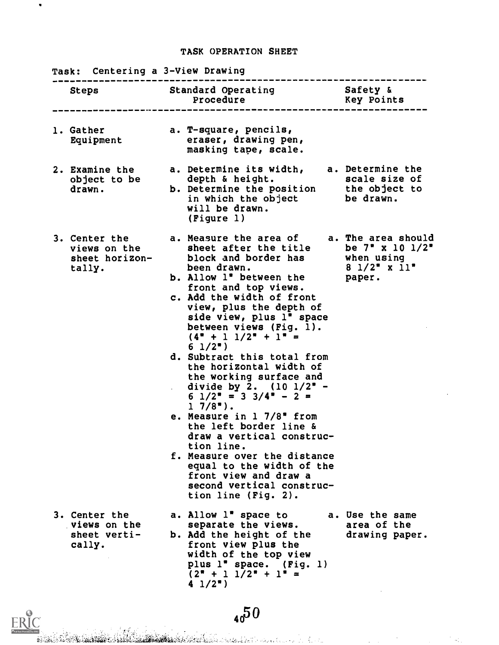## TASK OPERATION SHEET

| Steps                                                     | <b>Standard Operating</b><br>Procedure<br>---------                                                                                                                                                                                                                                                                                                                                                                                                                                                                                                                                                                                                                                                                                                                                        | <b>Safety &amp;</b><br>Key Points                |
|-----------------------------------------------------------|--------------------------------------------------------------------------------------------------------------------------------------------------------------------------------------------------------------------------------------------------------------------------------------------------------------------------------------------------------------------------------------------------------------------------------------------------------------------------------------------------------------------------------------------------------------------------------------------------------------------------------------------------------------------------------------------------------------------------------------------------------------------------------------------|--------------------------------------------------|
| 1. Gather<br>Equipment                                    | a. T-square, pencils,<br>eraser, drawing pen,<br>masking tape, scale.                                                                                                                                                                                                                                                                                                                                                                                                                                                                                                                                                                                                                                                                                                                      |                                                  |
| 2. Examine the<br>object to be<br>drawn.                  | a. Determine its width, a. Determine the<br>depth & height.<br>b. Determine the position the object to<br>in which the object<br>will be drawn.<br>(Figure 1)                                                                                                                                                                                                                                                                                                                                                                                                                                                                                                                                                                                                                              | scale size of<br>be drawn.                       |
| 3. Center the<br>views on the<br>sheet horizon-<br>tally. | a. Measure the area of a. The area should<br>sheet after the title be $7''$ x 10 $1/2''$<br>block and border has when using<br>been drawn.<br>b. Allow 1" between the<br>front and top views.<br>c. Add the width of front<br>view, plus the depth of<br>side view, plus l" space<br>between views (Fig. 1).<br>$(4^m + 1) / 2^m + 1^m =$<br>$6 \frac{1}{2}$<br>d. Subtract this total from<br>the horizontal width of<br>the working surface and<br>divide by 2. $(10 \t1/2" -$<br>$6 \frac{1}{2} = 3 \frac{3}{4} - 2 =$<br>$17/8$ .<br>e. Measure in $1 \frac{7}{8}$ from<br>the left border line &<br>draw a vertical construc-<br>tion line.<br>f. Measure over the distance<br>equal to the width of the<br>front view and draw a<br>second vertical construc-<br>tion line (Fig. 2). | $8 \frac{1}{2}$ x $11$<br>paper.                 |
| 3. Center the<br>views on the<br>sheet verti-<br>cally.   | a. Allow 1" space to<br>separate the views.<br>b. Add the height of the<br>front view plus the<br>width of the top view<br>plus l" space. (Fig. 1)<br>$(2^{\pi} + 1) / 2^{\pi} + 1^{\pi} =$<br>$4 \frac{1}{2}$                                                                                                                                                                                                                                                                                                                                                                                                                                                                                                                                                                             | a. Use the same<br>area of the<br>drawing paper. |

 $40^{50}$ 

ERIC

 $\frac{1}{2}$  ,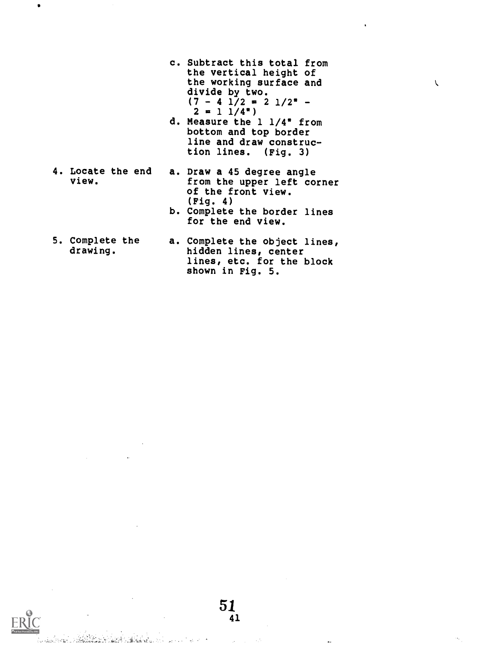c. Subtract this total from the vertical height of the working surface and divide by two.  $(7 - 4 \frac{1}{2} = 2 \frac{1}{2} 2 = 1$   $1/4$ <sup>\*</sup>)

 $\bar{\mathbf{V}}$ 

- d. Measure the 1 1/4" from bottom and top border line and draw construction lines. (Fig. 3)
- 4. Locate the end a. Draw a 45 degree angle<br>view. from the upper left co from the upper left corner of the front view. (Fig. 4)

 $\bullet$ 

- b. Complete the border lines for the end view.
- 5. Complete the drawing. a. Complete the object lines, hidden lines, center lines, etc. for the block shown in Fig. 5.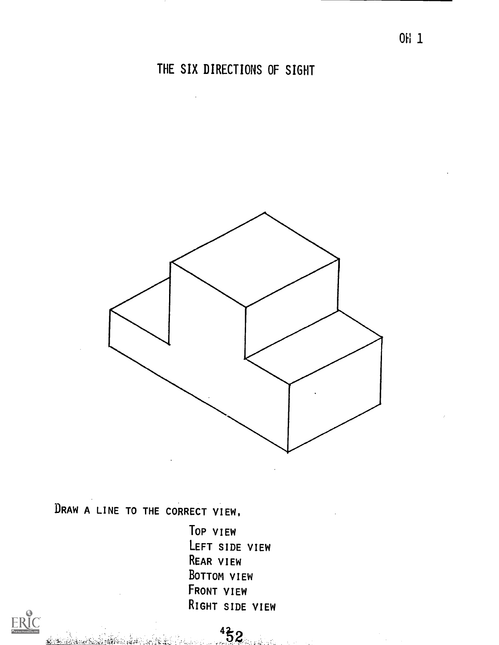# THE SIX DIRECTIONS OF SIGHT

 $\sim 10$ 



DRAW A LINE TO THE CORRECT VIEW,

TOP VIEW LEFT SIDE VIEW REAR VIEW BOTTOM VIEW FRONT VIEW RIGHT SIDE VIEW

 $132$ 

ERIC

OH 1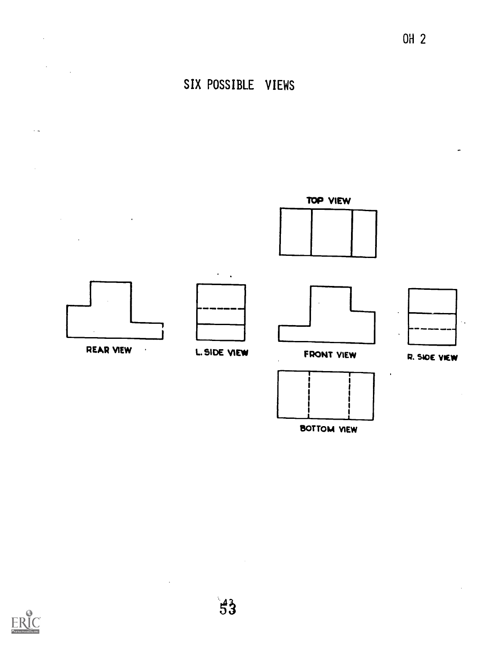SIX POSSIBLE VIEWS



BOTTOM VIEW





 $\ddot{\phantom{a}}$  .



 $\sim$   $\alpha$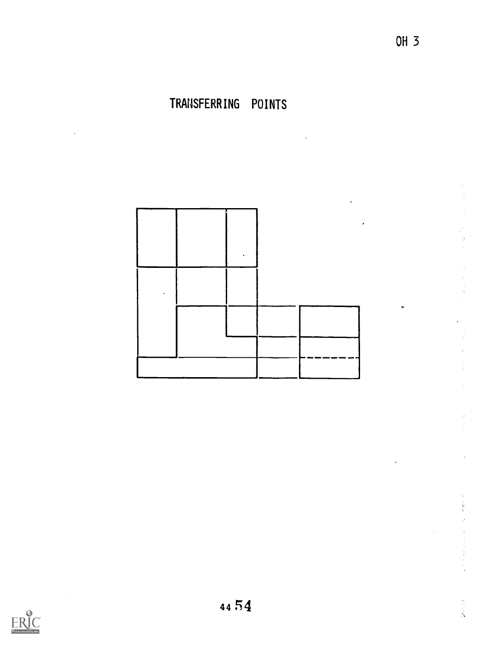TRANSFERRING POINTS





 $\cdot$ Ŷ,

 $\frac{1}{2} \sum_{i=1}^{n} \frac{1}{2} \sum_{j=1}^{n} \frac{1}{2} \sum_{j=1}^{n} \frac{1}{2} \sum_{j=1}^{n} \frac{1}{2} \sum_{j=1}^{n} \frac{1}{2} \sum_{j=1}^{n} \frac{1}{2} \sum_{j=1}^{n} \frac{1}{2} \sum_{j=1}^{n} \frac{1}{2} \sum_{j=1}^{n} \frac{1}{2} \sum_{j=1}^{n} \frac{1}{2} \sum_{j=1}^{n} \frac{1}{2} \sum_{j=1}^{n} \frac{1}{2} \sum_{j=1}^{n$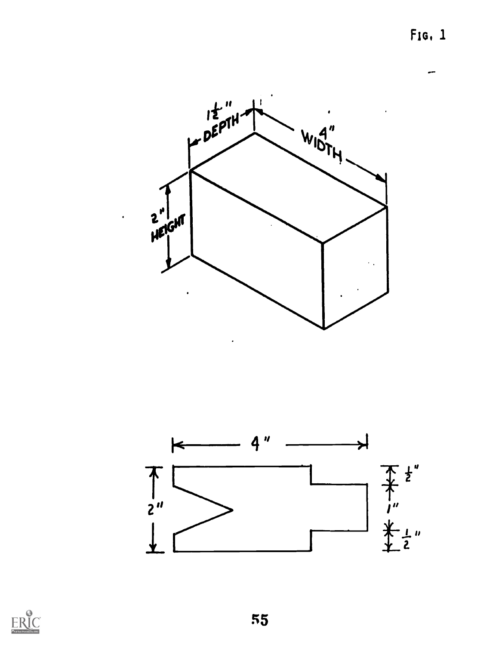Fig. 1







55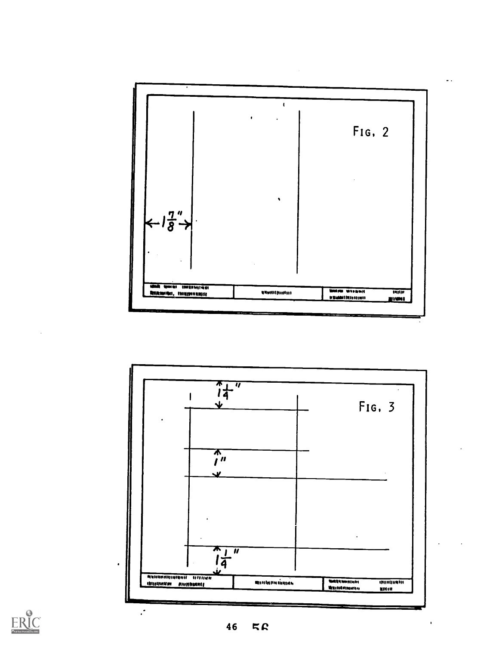





46  $56$ 

 $\mathbf{r}$ 

 $\overline{\phantom{a}}$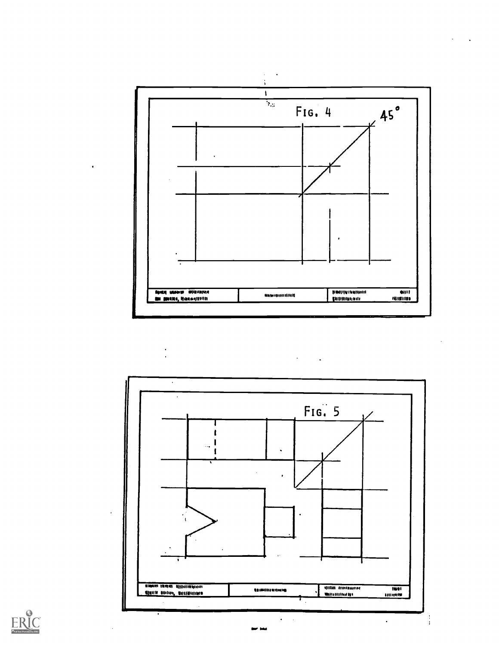





 $\bar{\mathcal{A}}$ 

 $\frac{1}{2}$  and

 $\frac{1}{4}$ 

 $\ddot{\phantom{0}}$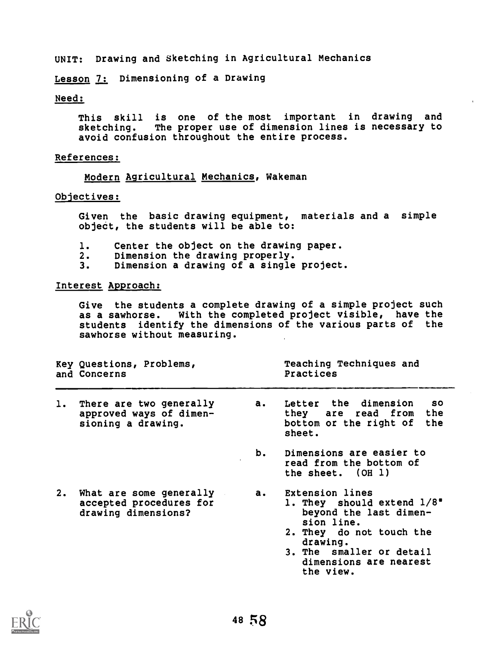### UNIT: Drawing and Sketching in Agricultural Mechanics

Lesson 7: Dimensioning of a Drawing

### Need:

This skill is one of the most important in drawing and sketching. The proper use of dimension lines is necessary to avoid confusion throughout the entire process.

#### References:

Modern Agricultural Mechanics, Wakeman

### Objectives:

Given the basic drawing equipment, materials and a simple object, the students will be able to:

- 1. Center the object on the drawing paper.
- 2. Dimension the drawing properly.<br>3. Dimension a drawing of a single
- Dimension a drawing of a single project.

### Interest Approach:

Give the students a complete drawing of a simple project such as a sawhorse. With the completed project visible, have the students identify the dimensions of the various parts of the sawhorse without measuring.

| Key Questions, Problems,<br>and Concerns                                     | Teaching Techniques and<br>Practices                                                                   |
|------------------------------------------------------------------------------|--------------------------------------------------------------------------------------------------------|
| 1. There are two generally<br>approved ways of dimen-<br>sioning a drawing.  | a. Letter the dimension<br><b>SO</b><br>they are read from the<br>bottom or the right of the<br>sheet. |
|                                                                              | b. Dimensions are easier to<br>read from the bottom of<br>the sheet. (OH 1)                            |
| 2. What are some generally<br>accepted procedures for<br>drawing dimensions? | a. Extension lines<br>1. They should extend 1/8"<br>beyond the last dimen-<br>sion line.               |

- 2. They do not touch the drawing.
- 3. The smaller or detail dimensions are nearest the view.

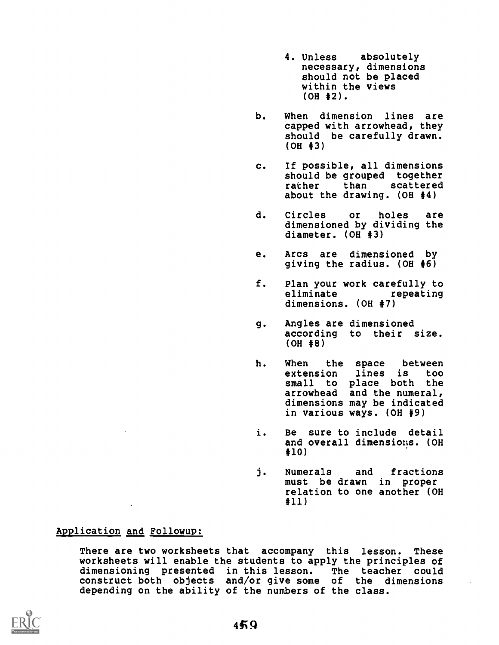- 4. Unless absolutely necessary, dimensions should not be placed within the views (OH #2).
- b. When dimension lines are capped with arrowhead, they should be carefully drawn. (OH #3)
- c. If possible, all dimensions should be grouped together<br>rather than scattered scattered about the drawing.  $(OH #4)$
- d. Circles or holes are dimensioned by dividing the diameter. (OH #3)
- e. Arcs are dimensioned by giving the radius. (OH #6)
- f. Plan your work carefully to eliminate repeating dimensions. (OH #7)
- g. Angles are dimensioned according to their size. (OH #8)
- h. When the space between<br>extension lines is too extension lines is too small to place both the arrowhead and the numeral, dimensions may be indicated in various ways. (OH #9)
- i. Be sure to include detail and overall dimensions. (OH #10)
- j. Numerals and fractions must be drawn in proper relation to one another (OH #11)

### Application and Followup:

 $\sim 10$ 

There are two worksheets that accompany this lesson. These worksheets will enable the students to apply the principles of dimensioning presented in this lesson. The teacher could construct both objects and/or give some of the dimensions depending on the ability of the numbers of the class.

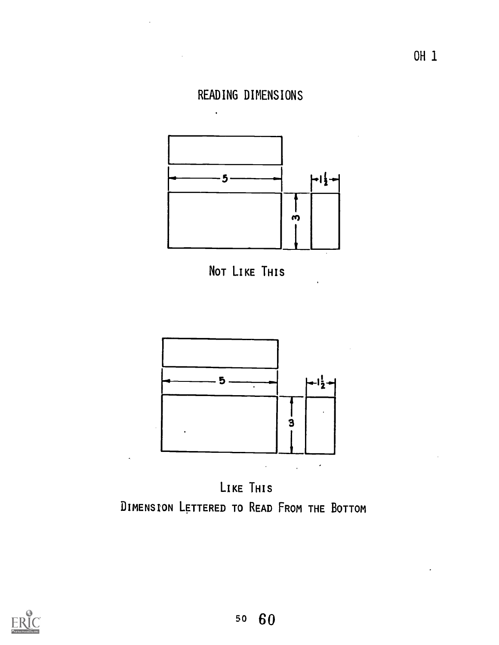# READING DIMENSIONS

 $\ddot{\phantom{a}}$ 







LIKE THIS DIMENSION LETTERED TO READ FROM THE BOTTOM

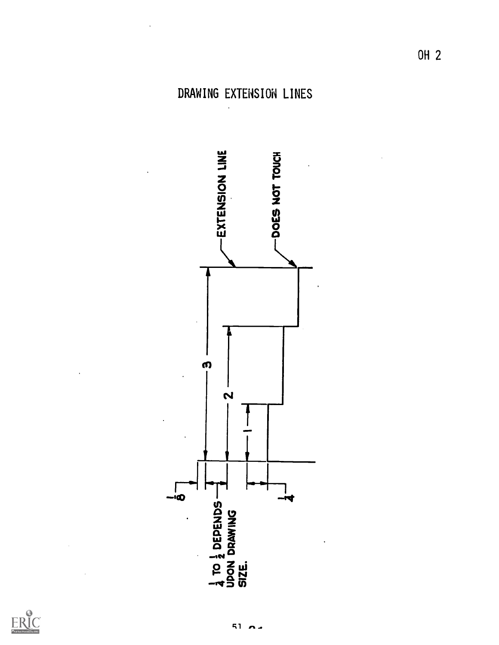# DRAWING EXTENSION LINES



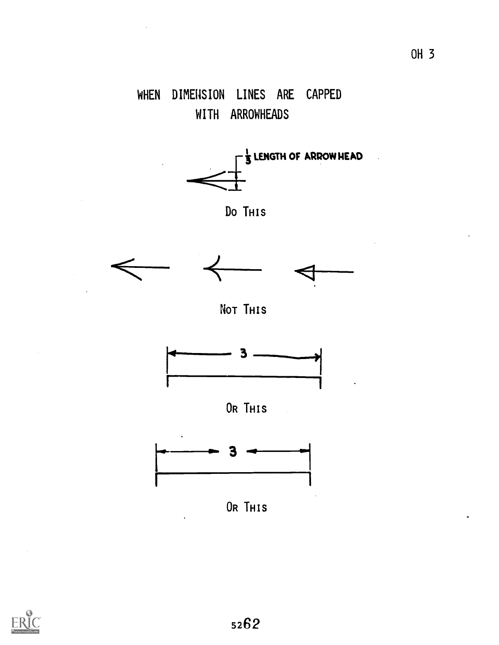## CAPPED WHEN DIMENSION LINES ARE WITH ARROWHEADS



Do This



Not This



OR THIS



OR THIS

5262

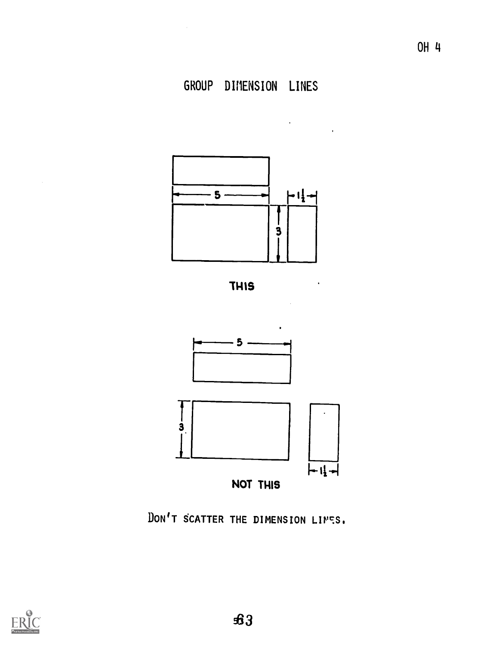# GROUP DIMENSION LINES

 $\ddot{\phantom{0}}$ 

 $\ddot{\phantom{0}}$ 









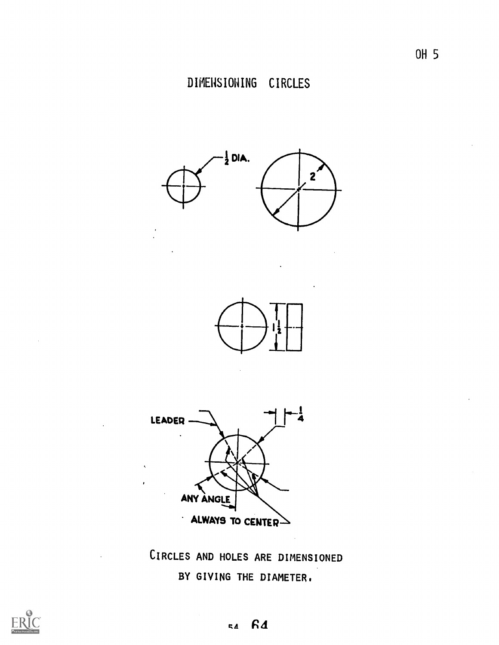# DIMENSIONING CIRCLES







CIRCLES AND HOLES ARE DIMENSIONED BY GIVING THE DIAMETER.



OH 5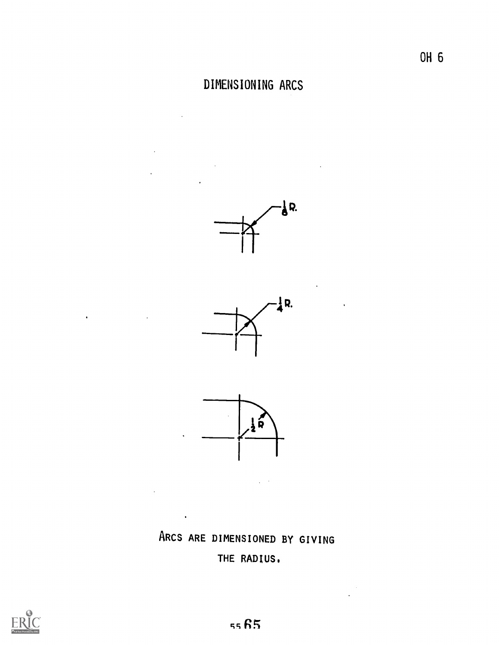# DIMENSIONING ARCS







ARCS ARE DIMENSIONED BY GIVING THE RADIUS.

 $\ddot{\phantom{0}}$ 



 $\ddot{\phantom{0}}$ 

OH 6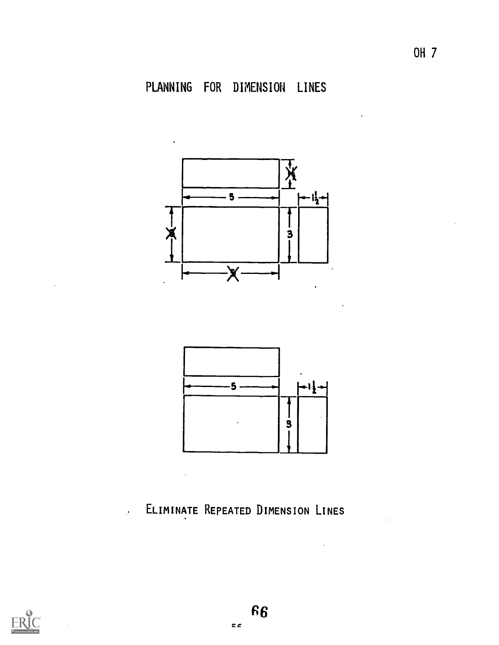



ELIMINATE REPEATED DIMENSION LINES  $\ddot{\cdot}$ 



 $c$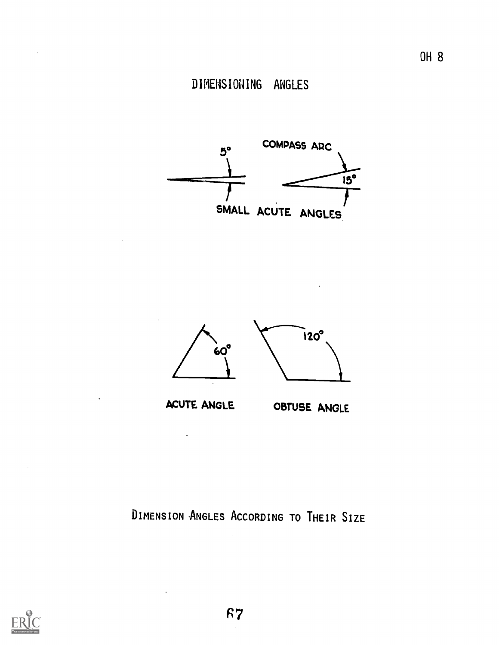# DIMENSIONING ANGLES





ACUTE ANGLE OBTUSE ANGLE

DIMENSION ANGLES ACCORDING TO THEIR SIZE

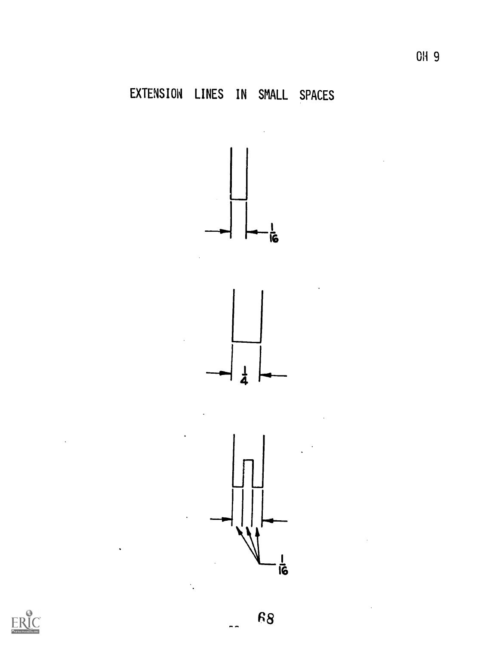



68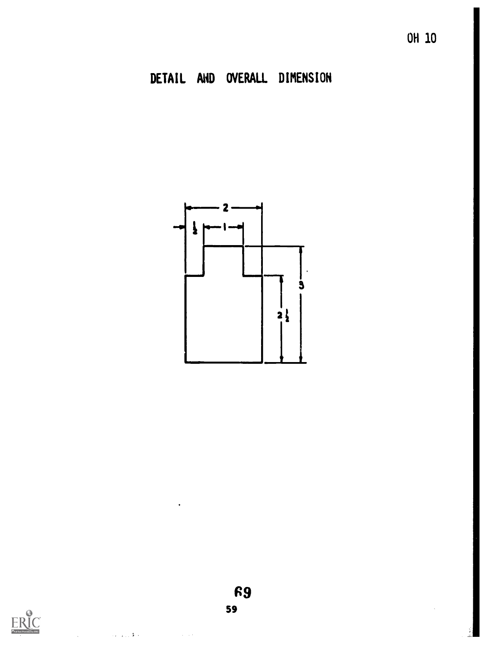# DETAIL AND OVERALL DIMENSION





69 59

 $\ddot{\phantom{0}}$ 

 $\sim 10^{11}$  km s  $^{-1}$ 

 $\mathcal{L}(\mathbf{x})$  , where  $\mathcal{L}(\mathbf{x})$  is a set of  $\mathbf{x}$  . For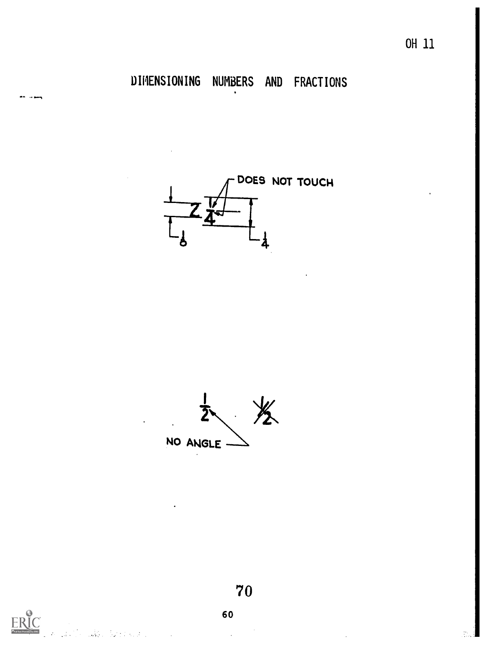# DIMENSIONING NUMBERS AND FRACTIONS





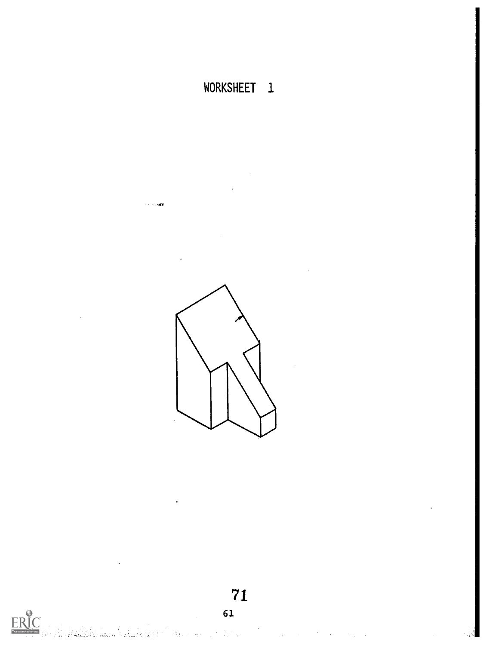



71 61

 $\hat{\mathbf{x}}$  .

 $ERIC$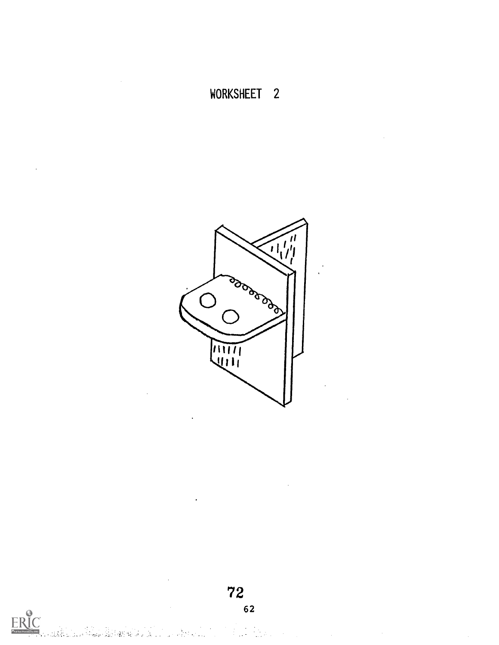WORKSHEET 2



 $\frac{1}{2}$  $\frac{1}{2}$ 

 $\hat{\mathcal{A}}$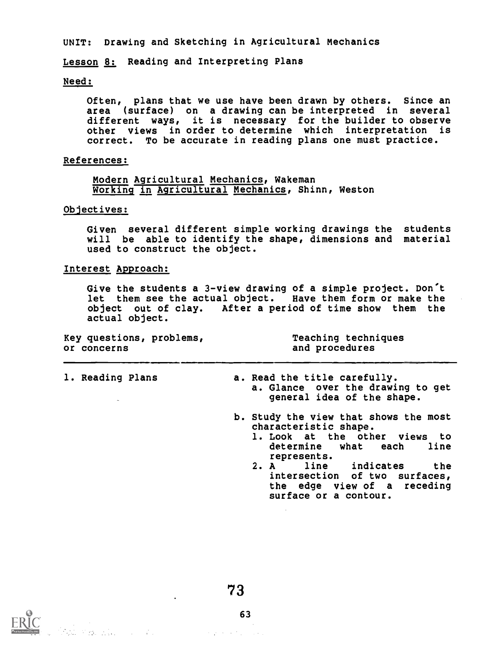UNIT: Drawing and Sketching in Agricultural Mechanics

Lesson 8: Reading and Interpreting Plans

#### Need:

Often, plans that we use have been drawn by others. Since an area (surface) on a drawing can be interpreted in several different ways, it is necessary for the builder to observe other views in order to determine which interpretation is correct. To be accurate in reading plans one must practice.

#### References:

Modern Agricultural Mechanics, Wakeman Working in Agricultural Mechanics, Shinn, Weston

#### Objectives:

Given several different simple working drawings the students will be able to identify the shape, dimensions and material used to construct the object.

#### Interest Approach:

Give the students a 3-view drawing of a simple project. Don't let them see the actual object. Have them form or make the object out of clay. After a period of time show them the actual object.

Key questions, problems, Teaching techniques<br>or concerns and procedures

and procedures

- 
- 1. Reading Plans a. Read the title carefully. a. Glance over the drawing to get general idea of the shape.
	- b. Study the view that shows the most characteristic shape.
		- 1. Look at the other views to determine what each line represents.<br>2. A line
		- line indicates the intersection of two surfaces, the edge view of a receding surface or a contour.





63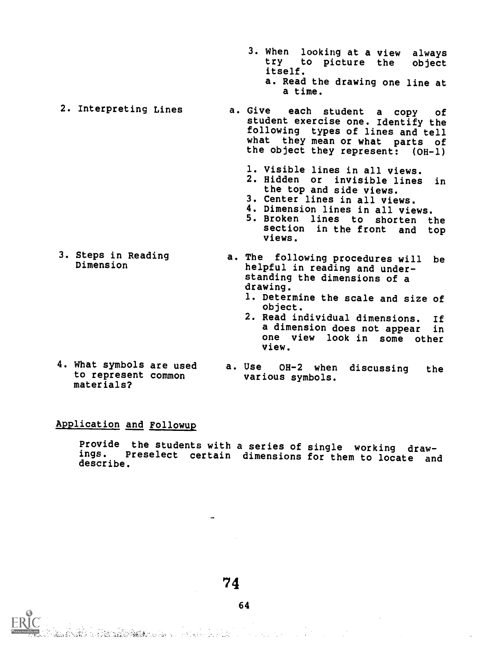- 3. When looking at a view always<br>try to picture the object to picture the itself. a. Read the drawing one line at
	- a time.

2. Interpreting Lines a. Give each student <sup>a</sup> copy of student exercise one. Identify the following types of lines and tell what they mean or what parts of the object they represent:  $(OH-1)$ 

- 1. Visible lines in all views.
- 2. Hidden or invisible lines in the top and side views.
- 3. Center lines in all views.
- 4. Dimension lines in all views.
- 5. Broken lines to shorten the section in the front and top views.

- 3. Steps in Reading Dimension
- a. The following procedures will be helpful in reading and understanding the dimensions of a drawing.
	- 1. Determine the scale and size of object.
	- 2. Read individual dimensions. If a dimension does not appear in one view look in some other view.
- to represent common<br>materials?
- 4. What symbols are used a. Use OH-2 when discussing the to represent common various symbols.

#### Application and Followup

Stander og den skilder og de andere en stander steder og

Provide the students with a series of single working draw-<br>ings. Preselect certain dimensions for them to locate and<br>describe.

74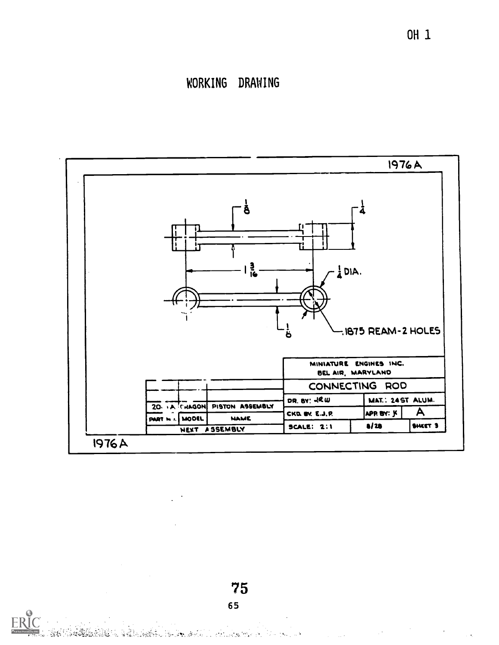# WORKING DRAWING



Sangai juga

65

**OH 1** 

 $\label{eq:2} \frac{1}{2}\sum_{i=1}^n\frac{1}{2}\sum_{i=1}^n\frac{1}{2}\sum_{i=1}^n\frac{1}{2}\sum_{i=1}^n\frac{1}{2}\sum_{i=1}^n\frac{1}{2}\sum_{i=1}^n\frac{1}{2}\sum_{i=1}^n\frac{1}{2}\sum_{i=1}^n\frac{1}{2}\sum_{i=1}^n\frac{1}{2}\sum_{i=1}^n\frac{1}{2}\sum_{i=1}^n\frac{1}{2}\sum_{i=1}^n\frac{1}{2}\sum_{i=1}^n\frac{1}{2}\sum_{i=1}^n\frac{$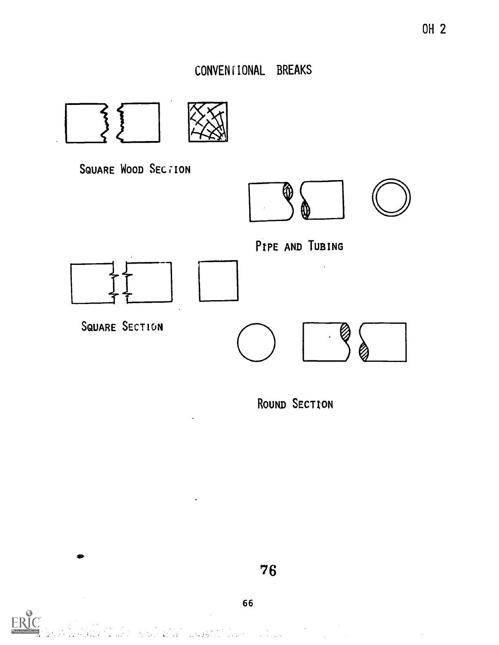# CONVENTIONAL BREAKS



SQUARE WOOD SECTION





 $\mathcal{A}^{\mathcal{A}}$ 

PIPE AND TUBING



SQUARE SECTION



ROUND SECTION



66

 $\ddot{\phantom{a}}$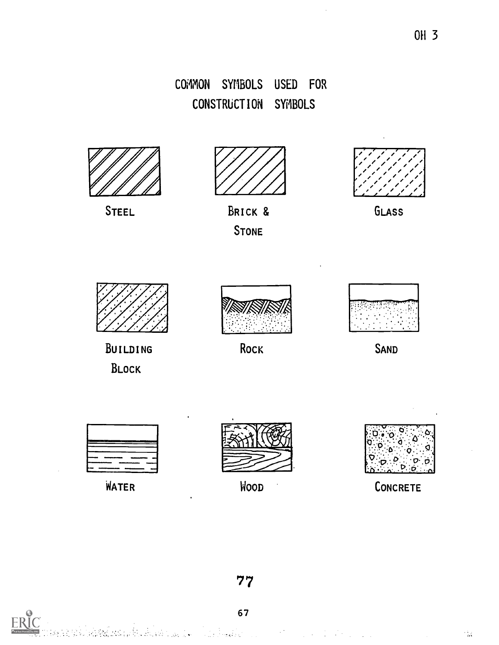COMMON SYMBOLS USED FOR CONSTRUCTION SYMBOLS



STEEL



BRICK & STONE



GLASS



BUILDING BLOCK



**Rock** 



SAND





WATER WOOD



**CONCRETE** 

77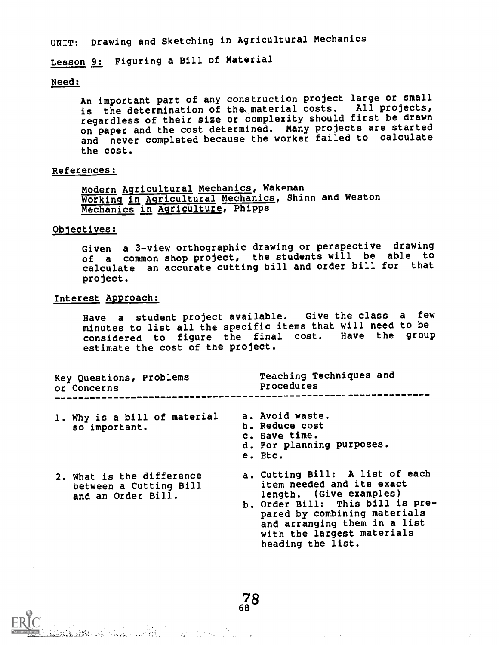UNIT: Drawing and Sketching in Agricultural Mechanics

Lesson 9: Figuring a Bill of Material

Need:

An important part of any construction project large or small is the determination of the material costs. All projects, regardless of their size or complexity should first be drawn on paper and the cost determined. Many projects are started and never completed because the worker failed to calculate the cost.

### References:

Modern Agricultural Mechanics, Wakeman Working in Agricultural Mechanics, Shinn and Weston Mechanics in Agriculture, Phipps

## Objectives:

Given a 3-view orthographic drawing or perspective drawing of a common shop project, the students will be able to calculate an accurate cutting bill and order bill for that project.

#### Interest Approach:

Have <sup>a</sup> student project available. Give the class <sup>a</sup> few minutes to list all the specific items that will need to be considered to figure the final cost. Have the group estimate the cost of the project.

| Key Questions, Problems<br>or Concerns                                    | Teaching Techniques and<br>Procedures                                                                                                                                                                                                          |
|---------------------------------------------------------------------------|------------------------------------------------------------------------------------------------------------------------------------------------------------------------------------------------------------------------------------------------|
| 1. Why is a bill of material<br>so important.                             | a. Avoid waste.<br>b. Reduce cost<br>c. Save time.<br>d. For planning purposes.<br>e. Etc.                                                                                                                                                     |
| 2. What is the difference<br>between a Cutting Bill<br>and an Order Bill. | a. Cutting Bill: A list of each<br>item needed and its exact<br>length. (Give examples)<br>b. Order Bill: This bill is pre-<br>pared by combining materials<br>and arranging them in a list<br>with the largest materials<br>heading the list. |

78 68

<u>, akademia de portuguese de la provincia de la provincia de la provincia de la provincia de la provincia de la</u>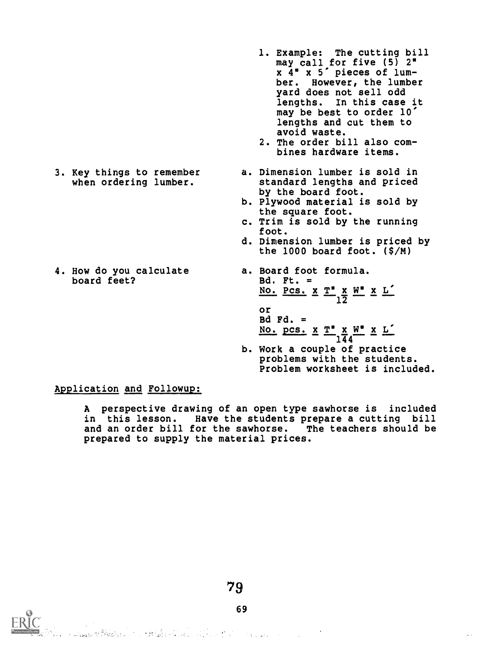- 1. Example: The cutting bill may call for five (5) 2" x 4" x 5' pieces of lumber. However, the lumber yard does not sell odd lengths. In this case it may be best to order 10' lengths and cut them to avoid waste.
- 2. The order bill also combines hardware items.
- a. Dimension lumber is sold in standard lengths and priced by the board foot.
- b. Plywood material is sold by the square foot.
- c. Trim is sold by the running foot.
- d. Dimension lumber is priced by the 1000 board foot.  $(S/M)$
- a. Board foot formula.  $Bd. Ft. =$ No. Pcs. x T" x W" x L' 12 or  $Bd$   $Fd$ . = No. pcs. x T" x W" x L'
- 144 b. Work a couple of practice problems with the students. Problem worksheet is included.

### Application and Followup:

A perspective drawing of an open type sawhorse is included in this lesson. Have the students prepare a cutting bill and an order bill for the sawhorse. The teachers should be prepared to supply the material prices.

79

3. Key things to remember when ordering lumber.

4. How do you calculate board feet?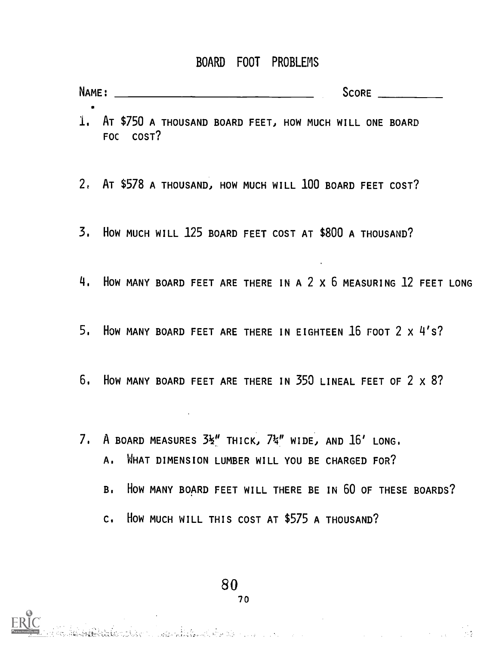# BOARD FOOT PROBLEMS

| Name: | SCORE<br>________ |
|-------|-------------------|
|-------|-------------------|

1, AT \$750 A THOUSAND BOARD FEET, HOW MUCH WILL ONE BOARD FOC COST?

a

- 2, AT \$578 A THOUSAND, HOW MUCH WILL 100 BOARD FEET COST?
- 3. How MUCH WILL 125 BOARD FEET COST AT \$800 A THOUSAND?
- 4, How MANY BOARD FEET ARE THERE IN A 2 x 6 MEASURING 12 FEET LONG
- 5. How MANY BOARD FEET ARE THERE IN EIGHTEEN 16 FOOT 2 x 4's?
- 6, How MANY BOARD FEET ARE THERE IN 350 LINEAL FEET OF 2 x 8?
- 7. A BOARD MEASURES  $3\frac{1}{2}$ " THICK,  $7\frac{1}{4}$ " WIDE, AND  $16'$  LONG, A. WHAT DIMENSION LUMBER WILL YOU BE CHARGED FOR?
	- B, How MANY BOARD FEET WILL THERE BE IN 60 OF THESE BOARDS?

 $\mathcal{L}^{\text{max}}$ 

c. How MUCH WILL THIS COST AT \$575 A THOUSAND?

80

an<br>Santa telephone (1987) et le partie de la

ahlan talah t